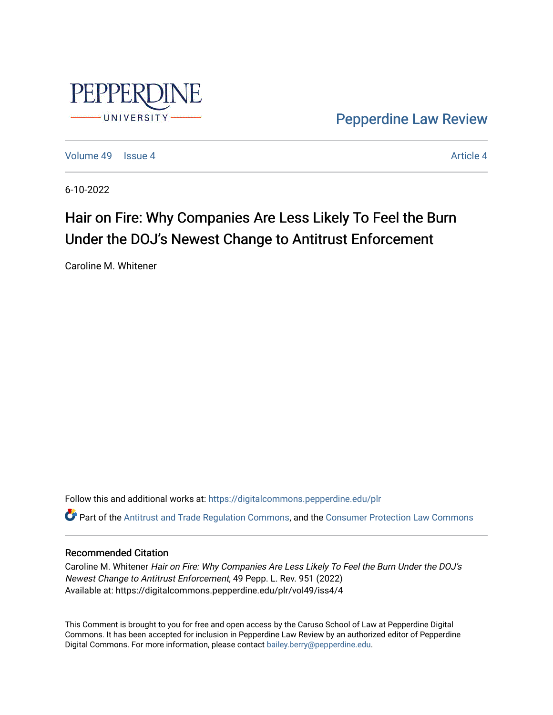

[Pepperdine Law Review](https://digitalcommons.pepperdine.edu/plr) 

[Volume 49](https://digitalcommons.pepperdine.edu/plr/vol49) | [Issue 4](https://digitalcommons.pepperdine.edu/plr/vol49/iss4) [Article 4](https://digitalcommons.pepperdine.edu/plr/vol49/iss4/4) Article 4 Article 4 Article 4 Article 4 Article 4 Article 4 Article 4 Article 4

6-10-2022

# Hair on Fire: Why Companies Are Less Likely To Feel the Burn Under the DOJ's Newest Change to Antitrust Enforcement

Caroline M. Whitener

Follow this and additional works at: [https://digitalcommons.pepperdine.edu/plr](https://digitalcommons.pepperdine.edu/plr?utm_source=digitalcommons.pepperdine.edu%2Fplr%2Fvol49%2Fiss4%2F4&utm_medium=PDF&utm_campaign=PDFCoverPages)

Part of the [Antitrust and Trade Regulation Commons,](https://network.bepress.com/hgg/discipline/911?utm_source=digitalcommons.pepperdine.edu%2Fplr%2Fvol49%2Fiss4%2F4&utm_medium=PDF&utm_campaign=PDFCoverPages) and the [Consumer Protection Law Commons](https://network.bepress.com/hgg/discipline/838?utm_source=digitalcommons.pepperdine.edu%2Fplr%2Fvol49%2Fiss4%2F4&utm_medium=PDF&utm_campaign=PDFCoverPages)

## Recommended Citation

Caroline M. Whitener Hair on Fire: Why Companies Are Less Likely To Feel the Burn Under the DOJ's Newest Change to Antitrust Enforcement, 49 Pepp. L. Rev. 951 (2022) Available at: https://digitalcommons.pepperdine.edu/plr/vol49/iss4/4

This Comment is brought to you for free and open access by the Caruso School of Law at Pepperdine Digital Commons. It has been accepted for inclusion in Pepperdine Law Review by an authorized editor of Pepperdine Digital Commons. For more information, please contact [bailey.berry@pepperdine.edu.](mailto:bailey.berry@pepperdine.edu)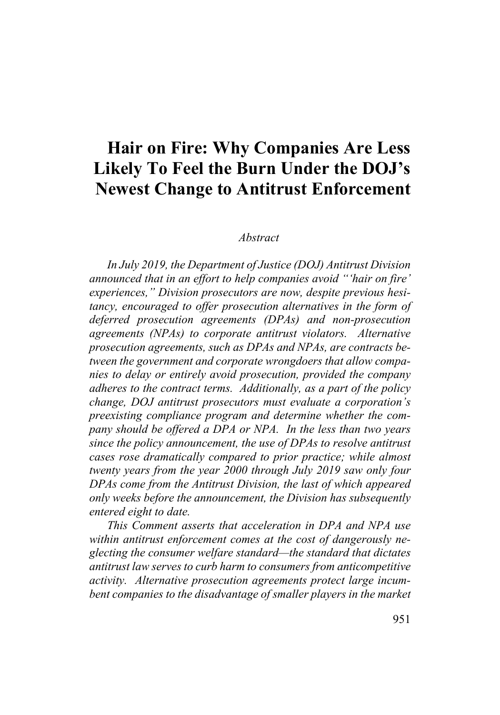# **Hair on Fire: Why Companies Are Less Likely To Feel the Burn Under the DOJ's Newest Change to Antitrust Enforcement**

## *Abstract*

*In July 2019, the Department of Justice (DOJ) Antitrust Division announced that in an effort to help companies avoid "'hair on fire' experiences," Division prosecutors are now, despite previous hesitancy, encouraged to offer prosecution alternatives in the form of deferred prosecution agreements (DPAs) and non-prosecution agreements (NPAs) to corporate antitrust violators. Alternative prosecution agreements, such as DPAs and NPAs, are contracts between the government and corporate wrongdoers that allow companies to delay or entirely avoid prosecution, provided the company adheres to the contract terms. Additionally, as a part of the policy change, DOJ antitrust prosecutors must evaluate a corporation's preexisting compliance program and determine whether the company should be offered a DPA or NPA. In the less than two years since the policy announcement, the use of DPAs to resolve antitrust cases rose dramatically compared to prior practice; while almost twenty years from the year 2000 through July 2019 saw only four DPAs come from the Antitrust Division, the last of which appeared only weeks before the announcement, the Division has subsequently entered eight to date.*

*This Comment asserts that acceleration in DPA and NPA use within antitrust enforcement comes at the cost of dangerously neglecting the consumer welfare standard—the standard that dictates antitrust law serves to curb harm to consumers from anticompetitive activity. Alternative prosecution agreements protect large incumbent companies to the disadvantage of smaller players in the market*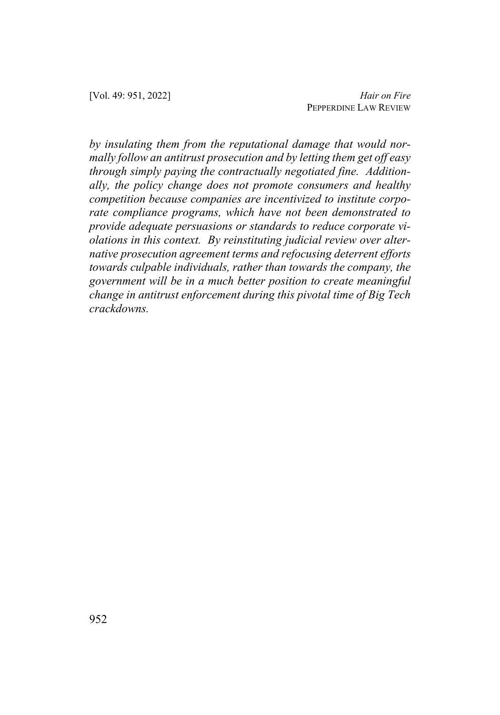*by insulating them from the reputational damage that would normally follow an antitrust prosecution and by letting them get off easy through simply paying the contractually negotiated fine. Additionally, the policy change does not promote consumers and healthy competition because companies are incentivized to institute corporate compliance programs, which have not been demonstrated to provide adequate persuasions or standards to reduce corporate violations in this context. By reinstituting judicial review over alternative prosecution agreement terms and refocusing deterrent efforts towards culpable individuals, rather than towards the company, the government will be in a much better position to create meaningful change in antitrust enforcement during this pivotal time of Big Tech crackdowns.*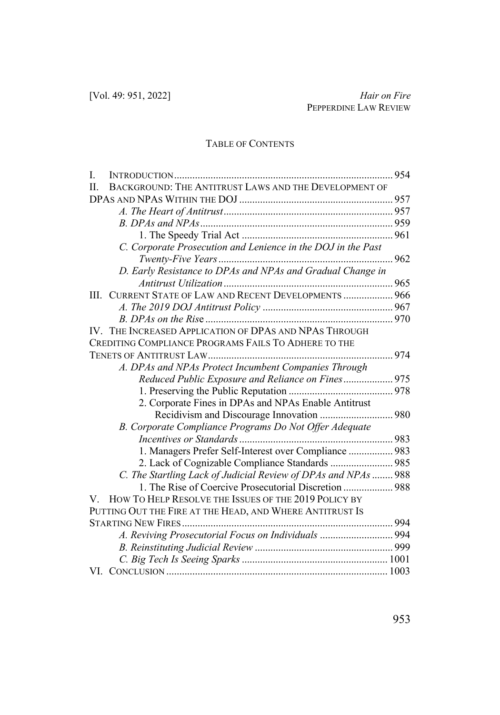# TABLE OF CONTENTS

| I.                                                             |  |
|----------------------------------------------------------------|--|
| BACKGROUND: THE ANTITRUST LAWS AND THE DEVELOPMENT OF<br>H.    |  |
|                                                                |  |
|                                                                |  |
|                                                                |  |
|                                                                |  |
| C. Corporate Prosecution and Lenience in the DOJ in the Past   |  |
|                                                                |  |
| D. Early Resistance to DPAs and NPAs and Gradual Change in     |  |
|                                                                |  |
| III. CURRENT STATE OF LAW AND RECENT DEVELOPMENTS  966         |  |
|                                                                |  |
|                                                                |  |
| IV. THE INCREASED APPLICATION OF DPAS AND NPAS THROUGH         |  |
| CREDITING COMPLIANCE PROGRAMS FAILS TO ADHERE TO THE           |  |
|                                                                |  |
| A. DPAs and NPAs Protect Incumbent Companies Through           |  |
| Reduced Public Exposure and Reliance on Fines 975              |  |
|                                                                |  |
| 2. Corporate Fines in DPAs and NPAs Enable Antitrust           |  |
|                                                                |  |
| B. Corporate Compliance Programs Do Not Offer Adequate         |  |
|                                                                |  |
| 1. Managers Prefer Self-Interest over Compliance  983          |  |
| 2. Lack of Cognizable Compliance Standards  985                |  |
| C. The Startling Lack of Judicial Review of DPAs and NPAs  988 |  |
| 1. The Rise of Coercive Prosecutorial Discretion  988          |  |
| V. HOW TO HELP RESOLVE THE ISSUES OF THE 2019 POLICY BY        |  |
| PUTTING OUT THE FIRE AT THE HEAD, AND WHERE ANTITRUST IS       |  |
|                                                                |  |
| A. Reviving Prosecutorial Focus on Individuals  994            |  |
|                                                                |  |
|                                                                |  |
|                                                                |  |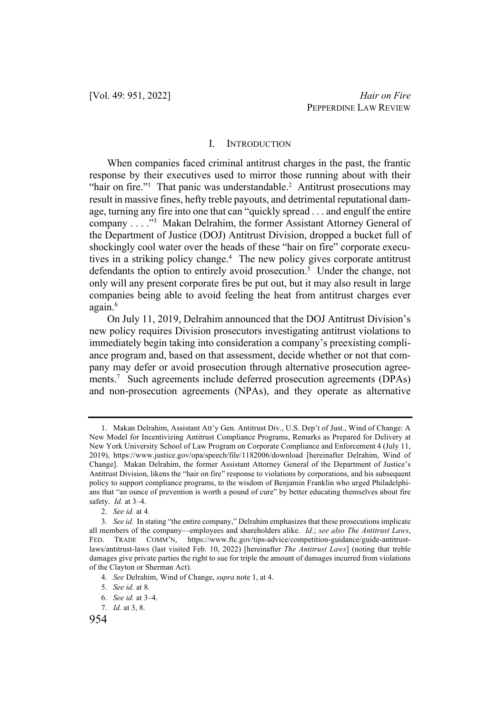#### I. INTRODUCTION

When companies faced criminal antitrust charges in the past, the frantic response by their executives used to mirror those running about with their "hair on fire."<sup>1</sup> That panic was understandable.<sup>2</sup> Antitrust prosecutions may result in massive fines, hefty treble payouts, and detrimental reputational damage, turning any fire into one that can "quickly spread . . . and engulf the entire company . . . ."3 Makan Delrahim, the former Assistant Attorney General of the Department of Justice (DOJ) Antitrust Division, dropped a bucket full of shockingly cool water over the heads of these "hair on fire" corporate executives in a striking policy change.4 The new policy gives corporate antitrust defendants the option to entirely avoid prosecution.<sup>5</sup> Under the change, not only will any present corporate fires be put out, but it may also result in large companies being able to avoid feeling the heat from antitrust charges ever again.<sup>6</sup>

On July 11, 2019, Delrahim announced that the DOJ Antitrust Division's new policy requires Division prosecutors investigating antitrust violations to immediately begin taking into consideration a company's preexisting compliance program and, based on that assessment, decide whether or not that company may defer or avoid prosecution through alternative prosecution agreements.7 Such agreements include deferred prosecution agreements (DPAs) and non-prosecution agreements (NPAs), and they operate as alternative

<sup>1.</sup> Makan Delrahim, Assistant Att'y Gen. Antitrust Div., U.S. Dep't of Just., Wind of Change: A New Model for Incentivizing Antitrust Compliance Programs, Remarks as Prepared for Delivery at New York University School of Law Program on Corporate Compliance and Enforcement 4 (July 11, 2019), https://www.justice.gov/opa/speech/file/1182006/download [hereinafter Delrahim, Wind of Change]. Makan Delrahim, the former Assistant Attorney General of the Department of Justice's Antitrust Division, likens the "hair on fire" response to violations by corporations, and his subsequent policy to support compliance programs, to the wisdom of Benjamin Franklin who urged Philadelphians that "an ounce of prevention is worth a pound of cure" by better educating themselves about fire safety. *Id.* at 3–4.

<sup>2.</sup> *See id.* at 4.

<sup>3.</sup> *See id.* In stating "the entire company," Delrahim emphasizes that these prosecutions implicate all members of the company—employees and shareholders alike. *Id.*; *see also The Antitrust Laws*, FED. TRADE COMM'N, https://www.ftc.gov/tips-advice/competition-guidance/guide-antitrustlaws/antitrust-laws (last visited Feb. 10, 2022) [hereinafter *The Antitrust Laws*] (noting that treble damages give private parties the right to sue for triple the amount of damages incurred from violations of the Clayton or Sherman Act).

<sup>4.</sup> *See* Delrahim, Wind of Change, *supra* note 1, at 4.

<sup>5.</sup> *See id.* at 8.

<sup>6.</sup> *See id.* at 3–4.

<sup>7.</sup> *Id.* at 3, 8.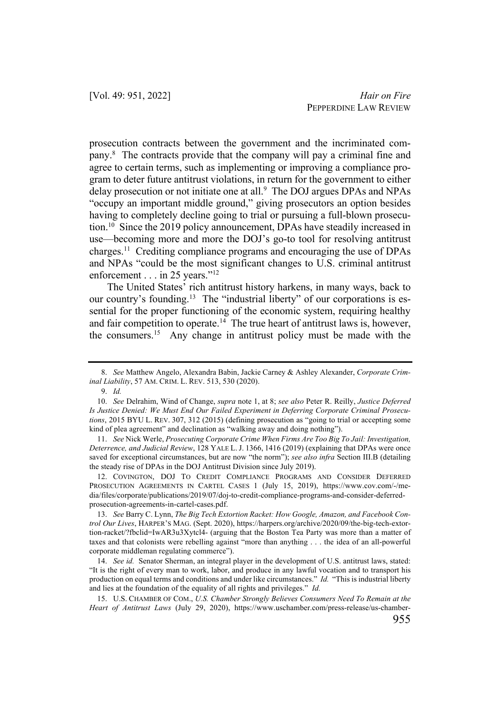prosecution contracts between the government and the incriminated company.8 The contracts provide that the company will pay a criminal fine and agree to certain terms, such as implementing or improving a compliance program to deter future antitrust violations, in return for the government to either delay prosecution or not initiate one at all.<sup>9</sup> The DOJ argues DPAs and NPAs "occupy an important middle ground," giving prosecutors an option besides having to completely decline going to trial or pursuing a full-blown prosecution.10 Since the 2019 policy announcement, DPAs have steadily increased in use—becoming more and more the DOJ's go-to tool for resolving antitrust charges.11 Crediting compliance programs and encouraging the use of DPAs and NPAs "could be the most significant changes to U.S. criminal antitrust enforcement . . . in 25 years."<sup>12</sup>

The United States' rich antitrust history harkens, in many ways, back to our country's founding.<sup>13</sup> The "industrial liberty" of our corporations is essential for the proper functioning of the economic system, requiring healthy and fair competition to operate.14 The true heart of antitrust laws is, however, the consumers.15 Any change in antitrust policy must be made with the

12. COVINGTON, DOJ TO CREDIT COMPLIANCE PROGRAMS AND CONSIDER DEFERRED PROSECUTION AGREEMENTS IN CARTEL CASES 1 (July 15, 2019), https://www.cov.com/-/media/files/corporate/publications/2019/07/doj-to-credit-compliance-programs-and-consider-deferredprosecution-agreements-in-cartel-cases.pdf.

<sup>8.</sup> *See* Matthew Angelo, Alexandra Babin, Jackie Carney & Ashley Alexander, *Corporate Criminal Liability*, 57 AM. CRIM. L. REV. 513, 530 (2020).

<sup>9.</sup> *Id.*

<sup>10.</sup> *See* Delrahim, Wind of Change, *supra* note 1, at 8; *see also* Peter R. Reilly, *Justice Deferred Is Justice Denied: We Must End Our Failed Experiment in Deferring Corporate Criminal Prosecutions*, 2015 BYU L. REV. 307, 312 (2015) (defining prosecution as "going to trial or accepting some kind of plea agreement" and declination as "walking away and doing nothing").

<sup>11.</sup> *See* Nick Werle, *Prosecuting Corporate Crime When Firms Are Too Big To Jail: Investigation, Deterrence, and Judicial Review*, 128 YALE L. J. 1366, 1416 (2019) (explaining that DPAs were once saved for exceptional circumstances, but are now "the norm"); *see also infra* Section III.B (detailing the steady rise of DPAs in the DOJ Antitrust Division since July 2019).

<sup>13.</sup> *See* Barry C. Lynn, *The Big Tech Extortion Racket: How Google, Amazon, and Facebook Control Our Lives*, HARPER'S MAG. (Sept. 2020), https://harpers.org/archive/2020/09/the-big-tech-extortion-racket/?fbclid=IwAR3u3Xytcl4- (arguing that the Boston Tea Party was more than a matter of taxes and that colonists were rebelling against "more than anything . . . the idea of an all-powerful corporate middleman regulating commerce").

<sup>14.</sup> *See id.* Senator Sherman, an integral player in the development of U.S. antitrust laws, stated: "It is the right of every man to work, labor, and produce in any lawful vocation and to transport his production on equal terms and conditions and under like circumstances." *Id.* "This is industrial liberty and lies at the foundation of the equality of all rights and privileges." *Id.*

<sup>15.</sup> U.S. CHAMBER OF COM., *U.S. Chamber Strongly Believes Consumers Need To Remain at the Heart of Antitrust Laws* (July 29, 2020), https://www.uschamber.com/press-release/us-chamber-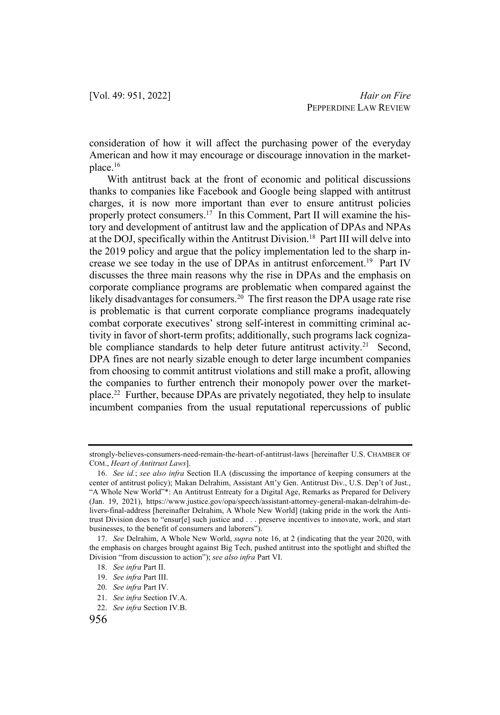consideration of how it will affect the purchasing power of the everyday American and how it may encourage or discourage innovation in the marketplace.16

With antitrust back at the front of economic and political discussions thanks to companies like Facebook and Google being slapped with antitrust charges, it is now more important than ever to ensure antitrust policies properly protect consumers.<sup>17</sup> In this Comment, Part II will examine the history and development of antitrust law and the application of DPAs and NPAs at the DOJ, specifically within the Antitrust Division.<sup>18</sup> Part III will delve into the 2019 policy and argue that the policy implementation led to the sharp increase we see today in the use of DPAs in antitrust enforcement.<sup>19</sup> Part IV discusses the three main reasons why the rise in DPAs and the emphasis on corporate compliance programs are problematic when compared against the likely disadvantages for consumers.<sup>20</sup> The first reason the DPA usage rate rise is problematic is that current corporate compliance programs inadequately combat corporate executives' strong self-interest in committing criminal activity in favor of short-term profits; additionally, such programs lack cognizable compliance standards to help deter future antitrust activity.<sup>21</sup> Second, DPA fines are not nearly sizable enough to deter large incumbent companies from choosing to commit antitrust violations and still make a profit, allowing the companies to further entrench their monopoly power over the marketplace.22 Further, because DPAs are privately negotiated, they help to insulate incumbent companies from the usual reputational repercussions of public

strongly-believes-consumers-need-remain-the-heart-of-antitrust-laws [hereinafter U.S. CHAMBER OF COM., *Heart of Antitrust Laws*].

<sup>16.</sup> *See id.*; *see also infra* Section II.A (discussing the importance of keeping consumers at the center of antitrust policy); Makan Delrahim, Assistant Att'y Gen. Antitrust Div., U.S. Dep't of Just., "A Whole New World"\*: An Antitrust Entreaty for a Digital Age, Remarks as Prepared for Delivery (Jan. 19, 2021), https://www.justice.gov/opa/speech/assistant-attorney-general-makan-delrahim-delivers-final-address [hereinafter Delrahim, A Whole New World] (taking pride in the work the Antitrust Division does to "ensur[e] such justice and . . . preserve incentives to innovate, work, and start businesses, to the benefit of consumers and laborers").

<sup>17.</sup> *See* Delrahim, A Whole New World, *supra* note 16, at 2 (indicating that the year 2020, with the emphasis on charges brought against Big Tech, pushed antitrust into the spotlight and shifted the Division "from discussion to action"); *see also infra* Part VI.

<sup>18.</sup> *See infra* Part II.

<sup>19.</sup> *See infra* Part III.

<sup>20.</sup> *See infra* Part IV.

<sup>21.</sup> *See infra* Section IV.A.

<sup>22.</sup> *See infra* Section IV.B.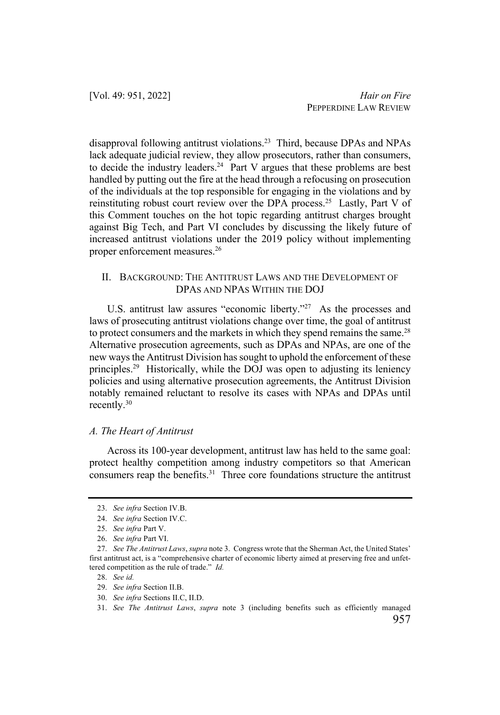disapproval following antitrust violations.23 Third, because DPAs and NPAs lack adequate judicial review, they allow prosecutors, rather than consumers, to decide the industry leaders.<sup>24</sup> Part V argues that these problems are best handled by putting out the fire at the head through a refocusing on prosecution of the individuals at the top responsible for engaging in the violations and by reinstituting robust court review over the DPA process.<sup>25</sup> Lastly, Part V of this Comment touches on the hot topic regarding antitrust charges brought against Big Tech, and Part VI concludes by discussing the likely future of increased antitrust violations under the 2019 policy without implementing proper enforcement measures.26

## II. BACKGROUND: THE ANTITRUST LAWS AND THE DEVELOPMENT OF DPAS AND NPAS WITHIN THE DOJ

U.S. antitrust law assures "economic liberty."<sup>27</sup> As the processes and laws of prosecuting antitrust violations change over time, the goal of antitrust to protect consumers and the markets in which they spend remains the same.<sup>28</sup> Alternative prosecution agreements, such as DPAs and NPAs, are one of the new ways the Antitrust Division has sought to uphold the enforcement of these principles.<sup>29</sup> Historically, while the DOJ was open to adjusting its leniency policies and using alternative prosecution agreements, the Antitrust Division notably remained reluctant to resolve its cases with NPAs and DPAs until recently.30

#### *A. The Heart of Antitrust*

Across its 100-year development, antitrust law has held to the same goal: protect healthy competition among industry competitors so that American consumers reap the benefits.<sup>31</sup> Three core foundations structure the antitrust

<sup>23.</sup> *See infra* Section IV.B.

<sup>24.</sup> *See infra* Section IV.C.

<sup>25.</sup> *See infra* Part V.

<sup>26.</sup> *See infra* Part VI.

<sup>27.</sup> *See The Antitrust Laws*, *supra* note 3. Congress wrote that the Sherman Act, the United States' first antitrust act, is a "comprehensive charter of economic liberty aimed at preserving free and unfettered competition as the rule of trade." *Id.*

<sup>28.</sup> *See id.*

<sup>29.</sup> *See infra* Section II.B.

<sup>30.</sup> *See infra* Sections II.C, II.D.

<sup>31.</sup> *See The Antitrust Laws*, *supra* note 3 (including benefits such as efficiently managed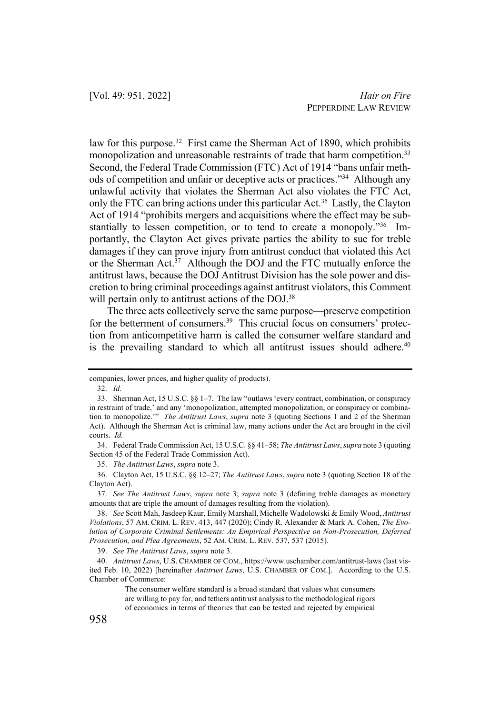law for this purpose.<sup>32</sup> First came the Sherman Act of 1890, which prohibits monopolization and unreasonable restraints of trade that harm competition.<sup>33</sup> Second, the Federal Trade Commission (FTC) Act of 1914 "bans unfair methods of competition and unfair or deceptive acts or practices."34 Although any unlawful activity that violates the Sherman Act also violates the FTC Act, only the FTC can bring actions under this particular Act.<sup>35</sup> Lastly, the Clayton Act of 1914 "prohibits mergers and acquisitions where the effect may be substantially to lessen competition, or to tend to create a monopoly."<sup>36</sup> Importantly, the Clayton Act gives private parties the ability to sue for treble damages if they can prove injury from antitrust conduct that violated this Act or the Sherman Act.<sup>37</sup> Although the DOJ and the FTC mutually enforce the antitrust laws, because the DOJ Antitrust Division has the sole power and discretion to bring criminal proceedings against antitrust violators, this Comment will pertain only to antitrust actions of the DOJ.<sup>38</sup>

The three acts collectively serve the same purpose—preserve competition for the betterment of consumers.<sup>39</sup> This crucial focus on consumers' protection from anticompetitive harm is called the consumer welfare standard and is the prevailing standard to which all antitrust issues should adhere. $40$ 

35. *The Antitrust Laws*, *supra* note 3.

36. Clayton Act, 15 U.S.C. §§ 12–27; *The Antitrust Laws*, *supra* note 3 (quoting Section 18 of the Clayton Act).

39. *See The Antitrust Laws*, *supra* note 3.

companies, lower prices, and higher quality of products).

<sup>32.</sup> *Id.*

<sup>33.</sup> Sherman Act, 15 U.S.C. §§ 1–7. The law "outlaws 'every contract, combination, or conspiracy in restraint of trade,' and any 'monopolization, attempted monopolization, or conspiracy or combination to monopolize.'" *The Antitrust Laws*, *supra* note 3 (quoting Sections 1 and 2 of the Sherman Act). Although the Sherman Act is criminal law, many actions under the Act are brought in the civil courts. *Id.*

<sup>34.</sup> Federal Trade Commission Act, 15 U.S.C. §§ 41–58; *The Antitrust Laws*, *supra* note 3 (quoting Section 45 of the Federal Trade Commission Act).

<sup>37.</sup> *See The Antitrust Laws*, *supra* note 3; *supra* note 3 (defining treble damages as monetary amounts that are triple the amount of damages resulting from the violation).

<sup>38.</sup> *See* Scott Mah, Jasdeep Kaur, Emily Marshall, Michelle Wadolowski & Emily Wood, *Antitrust Violations*, 57 AM. CRIM. L. REV. 413, 447 (2020); Cindy R. Alexander & Mark A. Cohen, *The Evolution of Corporate Criminal Settlements: An Empirical Perspective on Non-Prosecution, Deferred Prosecution, and Plea Agreements*, 52 AM. CRIM. L. REV. 537, 537 (2015).

<sup>40.</sup> *Antitrust Laws*, U.S. CHAMBER OF COM., https://www.uschamber.com/antitrust-laws (last visited Feb. 10, 2022) [hereinafter *Antitrust Laws*, U.S. CHAMBER OF COM.]. According to the U.S. Chamber of Commerce:

The consumer welfare standard is a broad standard that values what consumers are willing to pay for, and tethers antitrust analysis to the methodological rigors of economics in terms of theories that can be tested and rejected by empirical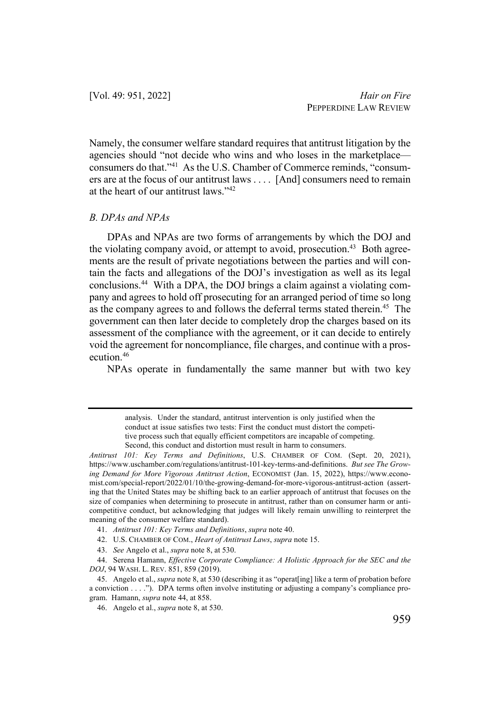Namely, the consumer welfare standard requires that antitrust litigation by the agencies should "not decide who wins and who loses in the marketplace consumers do that."41 As the U.S. Chamber of Commerce reminds, "consumers are at the focus of our antitrust laws . . . . [And] consumers need to remain at the heart of our antitrust laws."42

### *B. DPAs and NPAs*

DPAs and NPAs are two forms of arrangements by which the DOJ and the violating company avoid, or attempt to avoid, prosecution.<sup>43</sup> Both agreements are the result of private negotiations between the parties and will contain the facts and allegations of the DOJ's investigation as well as its legal conclusions.44 With a DPA, the DOJ brings a claim against a violating company and agrees to hold off prosecuting for an arranged period of time so long as the company agrees to and follows the deferral terms stated therein.<sup>45</sup> The government can then later decide to completely drop the charges based on its assessment of the compliance with the agreement, or it can decide to entirely void the agreement for noncompliance, file charges, and continue with a prosecution.46

NPAs operate in fundamentally the same manner but with two key

- 41. *Antitrust 101: Key Terms and Definitions*, *supra* note 40.
- 42. U.S. CHAMBER OF COM., *Heart of Antitrust Laws*, *supra* note 15.
- 43. *See* Angelo et al., *supra* note 8, at 530.

44. Serena Hamann, *Effective Corporate Compliance: A Holistic Approach for the SEC and the DOJ*, 94 WASH. L. REV. 851, 859 (2019).

analysis. Under the standard, antitrust intervention is only justified when the conduct at issue satisfies two tests: First the conduct must distort the competitive process such that equally efficient competitors are incapable of competing. Second, this conduct and distortion must result in harm to consumers.

*Antitrust 101: Key Terms and Definitions*, U.S. CHAMBER OF COM. (Sept. 20, 2021), https://www.uschamber.com/regulations/antitrust-101-key-terms-and-definitions. *But see The Growing Demand for More Vigorous Antitrust Action*, ECONOMIST (Jan. 15, 2022), https://www.economist.com/special-report/2022/01/10/the-growing-demand-for-more-vigorous-antitrust-action (asserting that the United States may be shifting back to an earlier approach of antitrust that focuses on the size of companies when determining to prosecute in antitrust, rather than on consumer harm or anticompetitive conduct, but acknowledging that judges will likely remain unwilling to reinterpret the meaning of the consumer welfare standard).

<sup>45.</sup> Angelo et al., *supra* note 8, at 530 (describing it as "operat[ing] like a term of probation before a conviction . . . ."). DPA terms often involve instituting or adjusting a company's compliance program. Hamann, *supra* note 44, at 858.

<sup>46.</sup> Angelo et al., *supra* note 8, at 530.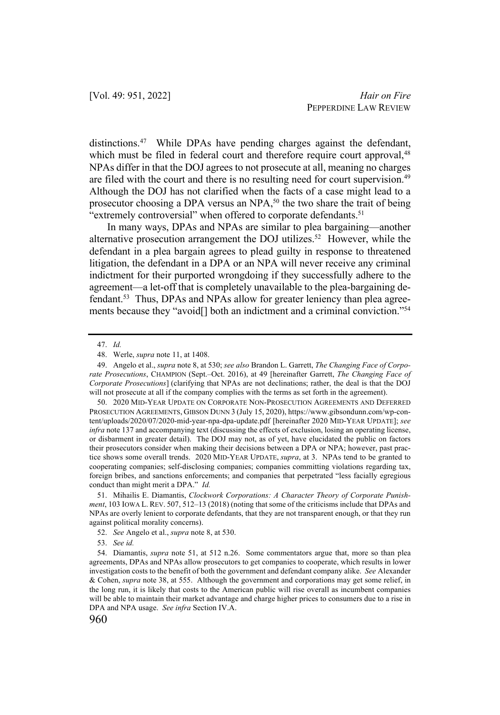distinctions.<sup>47</sup> While DPAs have pending charges against the defendant, which must be filed in federal court and therefore require court approval,<sup>48</sup> NPAs differ in that the DOJ agrees to not prosecute at all, meaning no charges are filed with the court and there is no resulting need for court supervision.<sup>49</sup> Although the DOJ has not clarified when the facts of a case might lead to a prosecutor choosing a DPA versus an NPA,<sup>50</sup> the two share the trait of being "extremely controversial" when offered to corporate defendants.<sup>51</sup>

In many ways, DPAs and NPAs are similar to plea bargaining—another alternative prosecution arrangement the DOJ utilizes.<sup>52</sup> However, while the defendant in a plea bargain agrees to plead guilty in response to threatened litigation, the defendant in a DPA or an NPA will never receive any criminal indictment for their purported wrongdoing if they successfully adhere to the agreement—a let-off that is completely unavailable to the plea-bargaining defendant.<sup>53</sup> Thus, DPAs and NPAs allow for greater leniency than plea agreements because they "avoid[] both an indictment and a criminal conviction."54

<sup>47.</sup> *Id.*

<sup>48.</sup> Werle, *supra* note 11, at 1408.

<sup>49.</sup> Angelo et al., *supra* note 8, at 530; *see also* Brandon L. Garrett, *The Changing Face of Corporate Prosecutions*, CHAMPION (Sept.–Oct. 2016), at 49 [hereinafter Garrett, *The Changing Face of Corporate Prosecutions*] (clarifying that NPAs are not declinations; rather, the deal is that the DOJ will not prosecute at all if the company complies with the terms as set forth in the agreement).

<sup>50.</sup> 2020 MID-YEAR UPDATE ON CORPORATE NON-PROSECUTION AGREEMENTS AND DEFERRED PROSECUTION AGREEMENTS, GIBSON DUNN 3 (July 15, 2020), https://www.gibsondunn.com/wp-content/uploads/2020/07/2020-mid-year-npa-dpa-update.pdf [hereinafter 2020 MID-YEAR UPDATE]; *see infra* note 137 and accompanying text (discussing the effects of exclusion, losing an operating license, or disbarment in greater detail). The DOJ may not, as of yet, have elucidated the public on factors their prosecutors consider when making their decisions between a DPA or NPA; however, past practice shows some overall trends. 2020 MID-YEAR UPDATE, *supra*, at 3. NPAs tend to be granted to cooperating companies; self-disclosing companies; companies committing violations regarding tax, foreign bribes, and sanctions enforcements; and companies that perpetrated "less facially egregious conduct than might merit a DPA." *Id.*

<sup>51.</sup> Mihailis E. Diamantis, *Clockwork Corporations: A Character Theory of Corporate Punishment*, 103 IOWA L. REV. 507, 512–13 (2018) (noting that some of the criticisms include that DPAs and NPAs are overly lenient to corporate defendants, that they are not transparent enough, or that they run against political morality concerns).

<sup>52.</sup> *See* Angelo et al., *supra* note 8, at 530.

<sup>53.</sup> *See id.*

<sup>54.</sup> Diamantis, *supra* note 51, at 512 n.26. Some commentators argue that, more so than plea agreements, DPAs and NPAs allow prosecutors to get companies to cooperate, which results in lower investigation costs to the benefit of both the government and defendant company alike. *See* Alexander & Cohen, *supra* note 38, at 555. Although the government and corporations may get some relief, in the long run, it is likely that costs to the American public will rise overall as incumbent companies will be able to maintain their market advantage and charge higher prices to consumers due to a rise in DPA and NPA usage. *See infra* Section IV.A.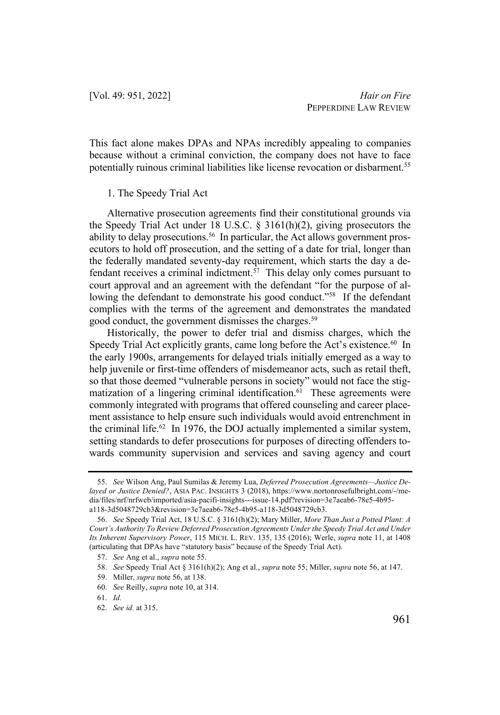This fact alone makes DPAs and NPAs incredibly appealing to companies because without a criminal conviction, the company does not have to face potentially ruinous criminal liabilities like license revocation or disbarment.<sup>55</sup>

#### 1. The Speedy Trial Act

Alternative prosecution agreements find their constitutional grounds via the Speedy Trial Act under 18 U.S.C. § 3161(h)(2), giving prosecutors the ability to delay prosecutions.<sup>56</sup> In particular, the Act allows government prosecutors to hold off prosecution, and the setting of a date for trial, longer than the federally mandated seventy-day requirement, which starts the day a defendant receives a criminal indictment.<sup> $57$ </sup> This delay only comes pursuant to court approval and an agreement with the defendant "for the purpose of allowing the defendant to demonstrate his good conduct."<sup>58</sup> If the defendant complies with the terms of the agreement and demonstrates the mandated good conduct, the government dismisses the charges.<sup>59</sup>

Historically, the power to defer trial and dismiss charges, which the Speedy Trial Act explicitly grants, came long before the Act's existence.<sup>60</sup> In the early 1900s, arrangements for delayed trials initially emerged as a way to help juvenile or first-time offenders of misdemeanor acts, such as retail theft, so that those deemed "vulnerable persons in society" would not face the stigmatization of a lingering criminal identification. $61$  These agreements were commonly integrated with programs that offered counseling and career placement assistance to help ensure such individuals would avoid entrenchment in the criminal life. $62$  In 1976, the DOJ actually implemented a similar system, setting standards to defer prosecutions for purposes of directing offenders towards community supervision and services and saving agency and court

<sup>55.</sup> *See* Wilson Ang, Paul Sumilas & Jeremy Lua, *Deferred Prosecution Agreements—Justice Delayed or Justice Denied?*, ASIA PAC. INSIGHTS 3 (2018), https://www.nortonrosefulbright.com/-/media/files/nrf/nrfweb/imported/asia-pacifi-insights---issue-14.pdf?revision=3e7aeab6-78e5-4b95 a118-3d5048729cb3&revision=3e7aeab6-78e5-4b95-a118-3d5048729cb3.

<sup>56.</sup> *See* Speedy Trial Act, 18 U.S.C. § 3161(h)(2); Mary Miller, *More Than Just a Potted Plant: A Court's Authority To Review Deferred Prosecution Agreements Under the Speedy Trial Act and Under Its Inherent Supervisory Power*, 115 MICH. L. REV. 135, 135 (2016); Werle, *supra* note 11, at 1408 (articulating that DPAs have "statutory basis" because of the Speedy Trial Act).

<sup>57.</sup> *See* Ang et al., *supra* note 55.

<sup>58.</sup> *See* Speedy Trial Act § 3161(h)(2); Ang et al., *supra* note 55; Miller, *supra* note 56, at 147.

<sup>59.</sup> Miller, *supra* note 56, at 138.

<sup>60.</sup> *See* Reilly, *supra* note 10, at 314.

<sup>61.</sup> *Id.*

<sup>62.</sup> *See id.* at 315.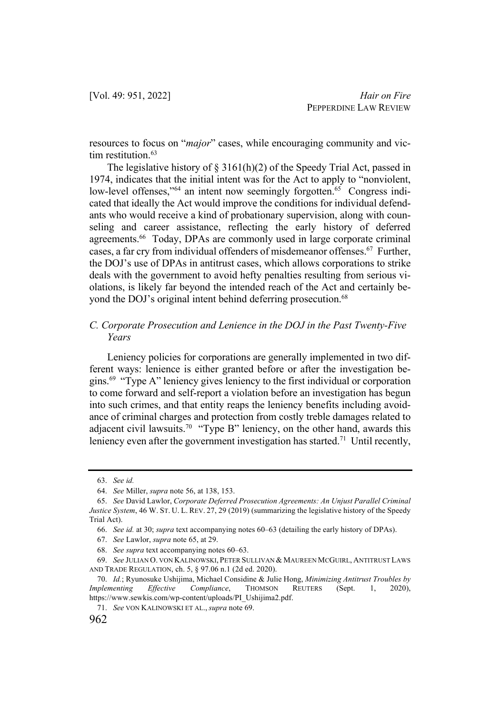resources to focus on "*major*" cases, while encouraging community and victim restitution.<sup>63</sup>

The legislative history of  $\S 3161(h)(2)$  of the Speedy Trial Act, passed in 1974, indicates that the initial intent was for the Act to apply to "nonviolent, low-level offenses,"<sup>64</sup> an intent now seemingly forgotten.<sup>65</sup> Congress indicated that ideally the Act would improve the conditions for individual defendants who would receive a kind of probationary supervision, along with counseling and career assistance, reflecting the early history of deferred agreements.<sup>66</sup> Today, DPAs are commonly used in large corporate criminal cases, a far cry from individual offenders of misdemeanor offenses.<sup>67</sup> Further, the DOJ's use of DPAs in antitrust cases, which allows corporations to strike deals with the government to avoid hefty penalties resulting from serious violations, is likely far beyond the intended reach of the Act and certainly beyond the DOJ's original intent behind deferring prosecution.<sup>68</sup>

## *C. Corporate Prosecution and Lenience in the DOJ in the Past Twenty-Five Years*

Leniency policies for corporations are generally implemented in two different ways: lenience is either granted before or after the investigation begins.69 "Type A" leniency gives leniency to the first individual or corporation to come forward and self-report a violation before an investigation has begun into such crimes, and that entity reaps the leniency benefits including avoidance of criminal charges and protection from costly treble damages related to adjacent civil lawsuits.<sup>70</sup> "Type B" leniency, on the other hand, awards this leniency even after the government investigation has started.<sup>71</sup> Until recently,

<sup>63.</sup> *See id.*

<sup>64.</sup> *See* Miller, *supra* note 56, at 138, 153.

<sup>65.</sup> *See* David Lawlor, *Corporate Deferred Prosecution Agreements: An Unjust Parallel Criminal Justice System*, 46 W. ST. U. L. REV. 27, 29 (2019) (summarizing the legislative history of the Speedy Trial Act).

<sup>66.</sup> *See id.* at 30; *supra* text accompanying notes 60–63 (detailing the early history of DPAs).

<sup>67.</sup> *See* Lawlor, *supra* note 65, at 29.

<sup>68.</sup> *See supra* text accompanying notes 60–63.

<sup>69.</sup> *See* JULIAN O. VON KALINOWSKI, PETER SULLIVAN & MAUREEN MCGUIRL, ANTITRUST LAWS AND TRADE REGULATION, ch. 5, § 97.06 n.1 (2d ed. 2020).

<sup>70.</sup> *Id.*; Ryunosuke Ushijima, Michael Considine & Julie Hong, *Minimizing Antitrust Troubles by Implementing Effective Compliance*, THOMSON REUTERS (Sept. 1, 2020), https://www.sewkis.com/wp-content/uploads/PI\_Ushijima2.pdf.

<sup>71.</sup> *See* VON KALINOWSKI ET AL., *supra* note 69.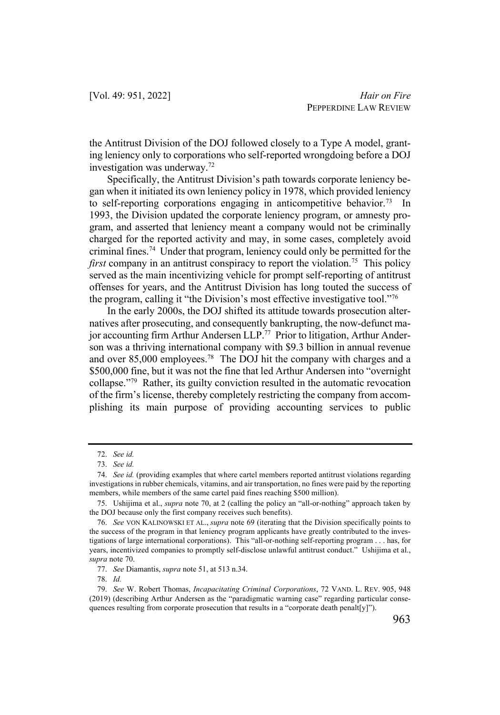the Antitrust Division of the DOJ followed closely to a Type A model, granting leniency only to corporations who self-reported wrongdoing before a DOJ investigation was underway.72

Specifically, the Antitrust Division's path towards corporate leniency began when it initiated its own leniency policy in 1978, which provided leniency to self-reporting corporations engaging in anticompetitive behavior.<sup>73</sup> In 1993, the Division updated the corporate leniency program, or amnesty program, and asserted that leniency meant a company would not be criminally charged for the reported activity and may, in some cases, completely avoid criminal fines.74 Under that program, leniency could only be permitted for the *first* company in an antitrust conspiracy to report the violation.<sup>75</sup> This policy served as the main incentivizing vehicle for prompt self-reporting of antitrust offenses for years, and the Antitrust Division has long touted the success of the program, calling it "the Division's most effective investigative tool."76

In the early 2000s, the DOJ shifted its attitude towards prosecution alternatives after prosecuting, and consequently bankrupting, the now-defunct major accounting firm Arthur Andersen LLP.<sup>77</sup> Prior to litigation, Arthur Anderson was a thriving international company with \$9.3 billion in annual revenue and over 85,000 employees.78 The DOJ hit the company with charges and a \$500,000 fine, but it was not the fine that led Arthur Andersen into "overnight collapse."79 Rather, its guilty conviction resulted in the automatic revocation of the firm's license, thereby completely restricting the company from accomplishing its main purpose of providing accounting services to public

78. *Id.*

<sup>72.</sup> *See id.*

<sup>73.</sup> *See id.*

<sup>74.</sup> *See id.* (providing examples that where cartel members reported antitrust violations regarding investigations in rubber chemicals, vitamins, and air transportation, no fines were paid by the reporting members, while members of the same cartel paid fines reaching \$500 million).

<sup>75.</sup> Ushijima et al., *supra* note 70, at 2 (calling the policy an "all-or-nothing" approach taken by the DOJ because only the first company receives such benefits).

<sup>76.</sup> *See* VON KALINOWSKI ET AL., *supra* note 69 (iterating that the Division specifically points to the success of the program in that leniency program applicants have greatly contributed to the investigations of large international corporations). This "all-or-nothing self-reporting program . . . has, for years, incentivized companies to promptly self-disclose unlawful antitrust conduct." Ushijima et al., *supra* note 70.

<sup>77.</sup> *See* Diamantis, *supra* note 51, at 513 n.34.

<sup>79.</sup> *See* W. Robert Thomas, *Incapacitating Criminal Corporations*, 72 VAND. L. REV. 905, 948 (2019) (describing Arthur Andersen as the "paradigmatic warning case" regarding particular consequences resulting from corporate prosecution that results in a "corporate death penalt[y]").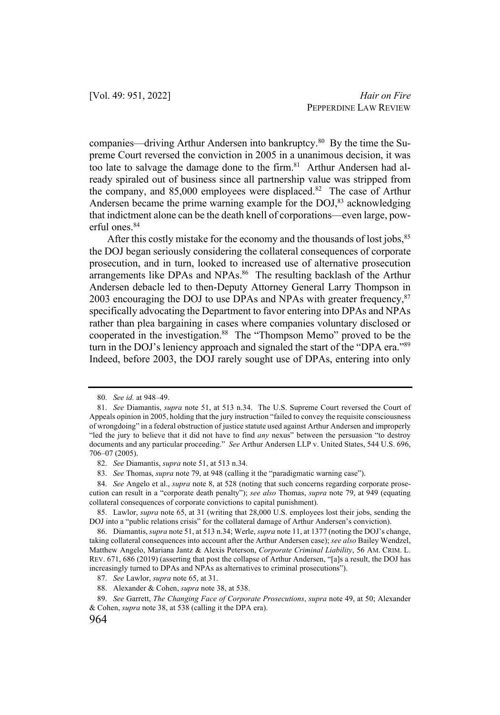companies—driving Arthur Andersen into bankruptcy.<sup>80</sup> By the time the Supreme Court reversed the conviction in 2005 in a unanimous decision, it was too late to salvage the damage done to the firm.<sup>81</sup> Arthur Andersen had already spiraled out of business since all partnership value was stripped from the company, and  $85,000$  employees were displaced.<sup>82</sup> The case of Arthur Andersen became the prime warning example for the  $DOJ<sub>,83</sub>$  acknowledging that indictment alone can be the death knell of corporations—even large, powerful ones.84

After this costly mistake for the economy and the thousands of lost jobs,<sup>85</sup> the DOJ began seriously considering the collateral consequences of corporate prosecution, and in turn, looked to increased use of alternative prosecution arrangements like DPAs and NPAs.<sup>86</sup> The resulting backlash of the Arthur Andersen debacle led to then-Deputy Attorney General Larry Thompson in 2003 encouraging the DOJ to use DPAs and NPAs with greater frequency, $87$ specifically advocating the Department to favor entering into DPAs and NPAs rather than plea bargaining in cases where companies voluntary disclosed or cooperated in the investigation.<sup>88</sup> The "Thompson Memo" proved to be the turn in the DOJ's leniency approach and signaled the start of the "DPA era."89 Indeed, before 2003, the DOJ rarely sought use of DPAs, entering into only

<sup>80.</sup> *See id.* at 948–49.

<sup>81.</sup> *See* Diamantis, *supra* note 51, at 513 n.34. The U.S. Supreme Court reversed the Court of Appeals opinion in 2005, holding that the jury instruction "failed to convey the requisite consciousness of wrongdoing" in a federal obstruction of justice statute used against Arthur Andersen and improperly "led the jury to believe that it did not have to find *any* nexus" between the persuasion "to destroy documents and any particular proceeding." *See* Arthur Andersen LLP v. United States, 544 U.S. 696, 706–07 (2005).

<sup>82.</sup> *See* Diamantis, *supra* note 51, at 513 n.34.

<sup>83.</sup> *See* Thomas, *supra* note 79, at 948 (calling it the "paradigmatic warning case").

<sup>84.</sup> *See* Angelo et al., *supra* note 8, at 528 (noting that such concerns regarding corporate prosecution can result in a "corporate death penalty"); *see also* Thomas, *supra* note 79, at 949 (equating collateral consequences of corporate convictions to capital punishment).

<sup>85.</sup> Lawlor, *supra* note 65, at 31 (writing that 28,000 U.S. employees lost their jobs, sending the DOJ into a "public relations crisis" for the collateral damage of Arthur Andersen's conviction).

<sup>86.</sup> Diamantis, *supra* note 51, at 513 n.34; Werle, *supra* note 11, at 1377 (noting the DOJ's change, taking collateral consequences into account after the Arthur Andersen case); *see also* Bailey Wendzel, Matthew Angelo, Mariana Jantz & Alexis Peterson, *Corporate Criminal Liability*, 56 AM. CRIM. L. REV. 671, 686 (2019) (asserting that post the collapse of Arthur Andersen, "[a]s a result, the DOJ has increasingly turned to DPAs and NPAs as alternatives to criminal prosecutions").

<sup>87.</sup> *See* Lawlor, *supra* note 65, at 31.

<sup>88.</sup> Alexander & Cohen, *supra* note 38, at 538.

<sup>89.</sup> *See* Garrett, *The Changing Face of Corporate Prosecutions*, *supra* note 49, at 50; Alexander & Cohen, *supra* note 38, at 538 (calling it the DPA era).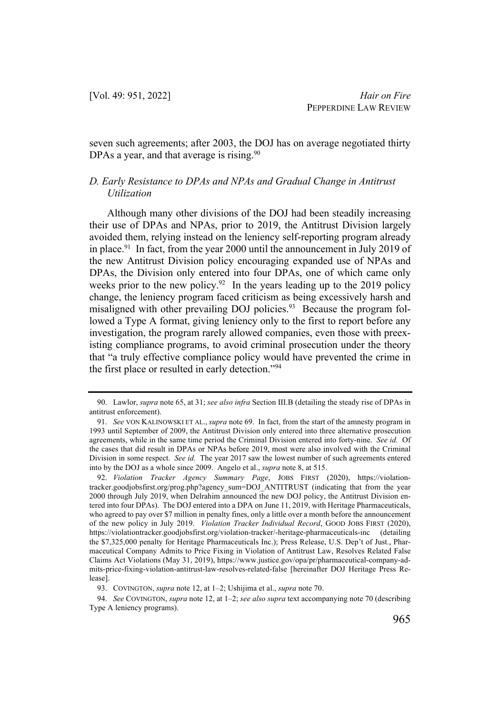seven such agreements; after 2003, the DOJ has on average negotiated thirty DPAs a year, and that average is rising. $90$ 

## *D. Early Resistance to DPAs and NPAs and Gradual Change in Antitrust Utilization*

Although many other divisions of the DOJ had been steadily increasing their use of DPAs and NPAs, prior to 2019, the Antitrust Division largely avoided them, relying instead on the leniency self-reporting program already in place.91 In fact, from the year 2000 until the announcement in July 2019 of the new Antitrust Division policy encouraging expanded use of NPAs and DPAs, the Division only entered into four DPAs, one of which came only weeks prior to the new policy.<sup>92</sup> In the years leading up to the 2019 policy change, the leniency program faced criticism as being excessively harsh and misaligned with other prevailing DOJ policies.<sup>93</sup> Because the program followed a Type A format, giving leniency only to the first to report before any investigation, the program rarely allowed companies, even those with preexisting compliance programs, to avoid criminal prosecution under the theory that "a truly effective compliance policy would have prevented the crime in the first place or resulted in early detection."94

<sup>90.</sup> Lawlor, *supra* note 65, at 31; *see also infra* Section III.B (detailing the steady rise of DPAs in antitrust enforcement).

<sup>91.</sup> *See* VON KALINOWSKI ET AL., *supra* note 69. In fact, from the start of the amnesty program in 1993 until September of 2009, the Antitrust Division only entered into three alternative prosecution agreements, while in the same time period the Criminal Division entered into forty-nine. *See id.* Of the cases that did result in DPAs or NPAs before 2019, most were also involved with the Criminal Division in some respect. *See id.* The year 2017 saw the lowest number of such agreements entered into by the DOJ as a whole since 2009. Angelo et al., *supra* note 8, at 515.

<sup>92.</sup> *Violation Tracker Agency Summary Page*, JOBS FIRST (2020), https://violationtracker.goodjobsfirst.org/prog.php?agency\_sum=DOJ\_ANTITRUST (indicating that from the year 2000 through July 2019, when Delrahim announced the new DOJ policy, the Antitrust Division entered into four DPAs). The DOJ entered into a DPA on June 11, 2019, with Heritage Pharmaceuticals, who agreed to pay over \$7 million in penalty fines, only a little over a month before the announcement of the new policy in July 2019. *Violation Tracker Individual Record*, GOOD JOBS FIRST (2020), https://violationtracker.goodjobsfirst.org/violation-tracker/-heritage-pharmaceuticals-inc (detailing the \$7,325,000 penalty for Heritage Pharmaceuticals Inc.); Press Release, U.S. Dep't of Just., Pharmaceutical Company Admits to Price Fixing in Violation of Antitrust Law, Resolves Related False Claims Act Violations (May 31, 2019), https://www.justice.gov/opa/pr/pharmaceutical-company-admits-price-fixing-violation-antitrust-law-resolves-related-false [hereinafter DOJ Heritage Press Release].

<sup>93.</sup> COVINGTON, *supra* note 12, at 1–2; Ushijima et al., *supra* note 70.

<sup>94.</sup> *See* COVINGTON, *supra* note 12, at 1–2; *see also supra* text accompanying note 70 (describing Type A leniency programs).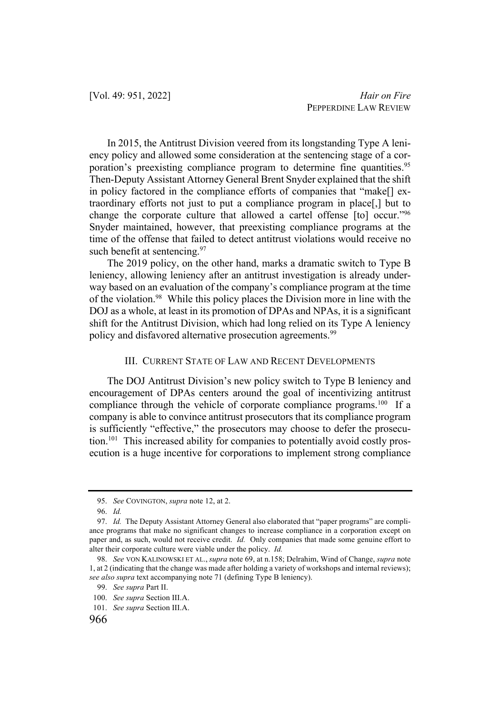In 2015, the Antitrust Division veered from its longstanding Type A leniency policy and allowed some consideration at the sentencing stage of a corporation's preexisting compliance program to determine fine quantities.<sup>95</sup> Then-Deputy Assistant Attorney General Brent Snyder explained that the shift in policy factored in the compliance efforts of companies that "make[] extraordinary efforts not just to put a compliance program in place[,] but to change the corporate culture that allowed a cartel offense [to] occur."96 Snyder maintained, however, that preexisting compliance programs at the time of the offense that failed to detect antitrust violations would receive no such benefit at sentencing.<sup>97</sup>

The 2019 policy, on the other hand, marks a dramatic switch to Type B leniency, allowing leniency after an antitrust investigation is already underway based on an evaluation of the company's compliance program at the time of the violation.98 While this policy places the Division more in line with the DOJ as a whole, at least in its promotion of DPAs and NPAs, it is a significant shift for the Antitrust Division, which had long relied on its Type A leniency policy and disfavored alternative prosecution agreements.<sup>99</sup>

## III. CURRENT STATE OF LAW AND RECENT DEVELOPMENTS

The DOJ Antitrust Division's new policy switch to Type B leniency and encouragement of DPAs centers around the goal of incentivizing antitrust compliance through the vehicle of corporate compliance programs.<sup>100</sup> If a company is able to convince antitrust prosecutors that its compliance program is sufficiently "effective," the prosecutors may choose to defer the prosecution.<sup>101</sup> This increased ability for companies to potentially avoid costly prosecution is a huge incentive for corporations to implement strong compliance

<sup>95.</sup> *See* COVINGTON, *supra* note 12, at 2.

<sup>96.</sup> *Id.*

<sup>97.</sup> *Id.* The Deputy Assistant Attorney General also elaborated that "paper programs" are compliance programs that make no significant changes to increase compliance in a corporation except on paper and, as such, would not receive credit. *Id.* Only companies that made some genuine effort to alter their corporate culture were viable under the policy. *Id.*

<sup>98.</sup> *See* VON KALINOWSKI ET AL., *supra* note 69, at n.158; Delrahim, Wind of Change, *supra* note 1, at 2 (indicating that the change was made after holding a variety of workshops and internal reviews); *see also supra* text accompanying note 71 (defining Type B leniency).

<sup>99.</sup> *See supra* Part II.

<sup>100.</sup> *See supra* Section III.A.

<sup>101.</sup> *See supra* Section III.A.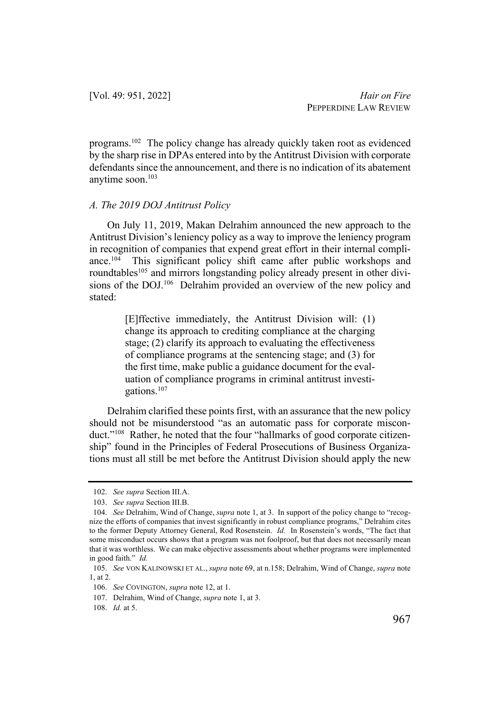programs.<sup>102</sup> The policy change has already quickly taken root as evidenced by the sharp rise in DPAs entered into by the Antitrust Division with corporate defendants since the announcement, and there is no indication of its abatement anytime soon. $103$ 

### *A. The 2019 DOJ Antitrust Policy*

On July 11, 2019, Makan Delrahim announced the new approach to the Antitrust Division's leniency policy as a way to improve the leniency program in recognition of companies that expend great effort in their internal compliance.104 This significant policy shift came after public workshops and roundtables<sup>105</sup> and mirrors longstanding policy already present in other divisions of the DOJ.<sup>106</sup> Delrahim provided an overview of the new policy and stated:

> [E]ffective immediately, the Antitrust Division will: (1) change its approach to crediting compliance at the charging stage; (2) clarify its approach to evaluating the effectiveness of compliance programs at the sentencing stage; and (3) for the first time, make public a guidance document for the evaluation of compliance programs in criminal antitrust investigations.107

Delrahim clarified these points first, with an assurance that the new policy should not be misunderstood "as an automatic pass for corporate misconduct."108 Rather, he noted that the four "hallmarks of good corporate citizenship" found in the Principles of Federal Prosecutions of Business Organizations must all still be met before the Antitrust Division should apply the new

<sup>102.</sup> *See supra* Section III.A.

<sup>103.</sup> *See supra* Section III.B.

<sup>104.</sup> *See* Delrahim, Wind of Change, *supra* note 1, at 3. In support of the policy change to "recognize the efforts of companies that invest significantly in robust compliance programs," Delrahim cites to the former Deputy Attorney General, Rod Rosenstein. *Id.* In Rosenstein's words, "The fact that some misconduct occurs shows that a program was not foolproof, but that does not necessarily mean that it was worthless. We can make objective assessments about whether programs were implemented in good faith." *Id.*

<sup>105.</sup> *See* VON KALINOWSKI ET AL., *supra* note 69, at n.158; Delrahim, Wind of Change, *supra* note 1, at 2.

<sup>106.</sup> *See* COVINGTON, *supra* note 12, at 1.

<sup>107.</sup> Delrahim, Wind of Change, *supra* note 1, at 3.

<sup>108.</sup> *Id.* at 5.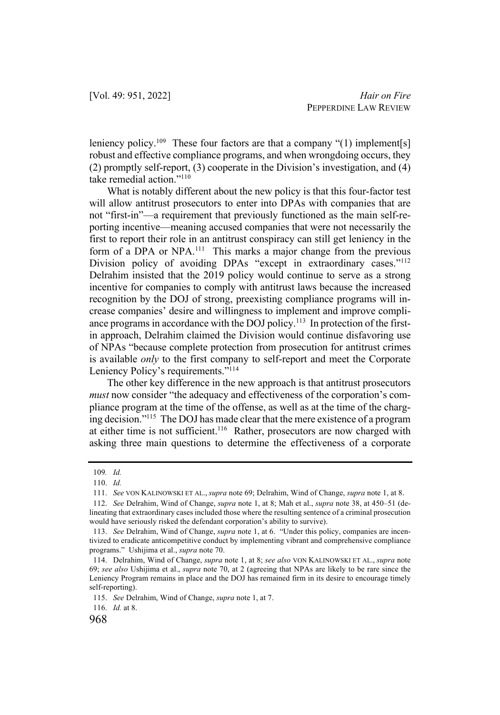leniency policy.<sup>109</sup> These four factors are that a company "(1) implement[s] robust and effective compliance programs, and when wrongdoing occurs, they (2) promptly self-report, (3) cooperate in the Division's investigation, and (4) take remedial action."110

What is notably different about the new policy is that this four-factor test will allow antitrust prosecutors to enter into DPAs with companies that are not "first-in"—a requirement that previously functioned as the main self-reporting incentive—meaning accused companies that were not necessarily the first to report their role in an antitrust conspiracy can still get leniency in the form of a DPA or NPA.111 This marks a major change from the previous Division policy of avoiding DPAs "except in extraordinary cases."112 Delrahim insisted that the 2019 policy would continue to serve as a strong incentive for companies to comply with antitrust laws because the increased recognition by the DOJ of strong, preexisting compliance programs will increase companies' desire and willingness to implement and improve compliance programs in accordance with the DOJ policy.113 In protection of the firstin approach, Delrahim claimed the Division would continue disfavoring use of NPAs "because complete protection from prosecution for antitrust crimes is available *only* to the first company to self-report and meet the Corporate Leniency Policy's requirements."<sup>114</sup>

The other key difference in the new approach is that antitrust prosecutors *must* now consider "the adequacy and effectiveness of the corporation's compliance program at the time of the offense, as well as at the time of the charging decision."115 The DOJ has made clear that the mere existence of a program at either time is not sufficient.<sup>116</sup> Rather, prosecutors are now charged with asking three main questions to determine the effectiveness of a corporate

116. *Id.* at 8.

<sup>109</sup>*. Id.*

<sup>110.</sup> *Id.*

<sup>111.</sup> *See* VON KALINOWSKI ET AL., *supra* note 69; Delrahim, Wind of Change, *supra* note 1, at 8.

<sup>112.</sup> *See* Delrahim, Wind of Change, *supra* note 1, at 8; Mah et al., *supra* note 38, at 450–51 (delineating that extraordinary cases included those where the resulting sentence of a criminal prosecution would have seriously risked the defendant corporation's ability to survive).

<sup>113.</sup> *See* Delrahim, Wind of Change, *supra* note 1, at 6. "Under this policy, companies are incentivized to eradicate anticompetitive conduct by implementing vibrant and comprehensive compliance programs." Ushijima et al., *supra* note 70.

<sup>114.</sup> Delrahim, Wind of Change, *supra* note 1, at 8; *see also* VON KALINOWSKI ET AL., *supra* note 69; *see also* Ushijima et al., *supra* note 70, at 2 (agreeing that NPAs are likely to be rare since the Leniency Program remains in place and the DOJ has remained firm in its desire to encourage timely self-reporting).

<sup>115.</sup> *See* Delrahim, Wind of Change, *supra* note 1, at 7.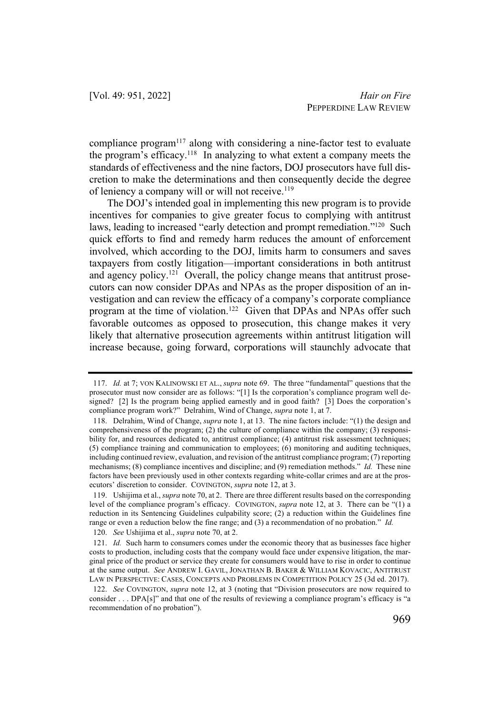compliance program<sup>117</sup> along with considering a nine-factor test to evaluate the program's efficacy.118 In analyzing to what extent a company meets the standards of effectiveness and the nine factors, DOJ prosecutors have full discretion to make the determinations and then consequently decide the degree of leniency a company will or will not receive.<sup>119</sup>

The DOJ's intended goal in implementing this new program is to provide incentives for companies to give greater focus to complying with antitrust laws, leading to increased "early detection and prompt remediation."<sup>120</sup> Such quick efforts to find and remedy harm reduces the amount of enforcement involved, which according to the DOJ, limits harm to consumers and saves taxpayers from costly litigation—important considerations in both antitrust and agency policy.<sup>121</sup> Overall, the policy change means that antitrust prosecutors can now consider DPAs and NPAs as the proper disposition of an investigation and can review the efficacy of a company's corporate compliance program at the time of violation.<sup>122</sup> Given that DPAs and NPAs offer such favorable outcomes as opposed to prosecution, this change makes it very likely that alternative prosecution agreements within antitrust litigation will increase because, going forward, corporations will staunchly advocate that

120. *See* Ushijima et al., *supra* note 70, at 2.

<sup>117.</sup> *Id.* at 7; VON KALINOWSKI ET AL., *supra* note 69. The three "fundamental" questions that the prosecutor must now consider are as follows: "[1] Is the corporation's compliance program well designed? [2] Is the program being applied earnestly and in good faith? [3] Does the corporation's compliance program work?" Delrahim, Wind of Change, *supra* note 1, at 7.

<sup>118.</sup> Delrahim, Wind of Change, *supra* note 1, at 13. The nine factors include: "(1) the design and comprehensiveness of the program; (2) the culture of compliance within the company; (3) responsibility for, and resources dedicated to, antitrust compliance; (4) antitrust risk assessment techniques; (5) compliance training and communication to employees; (6) monitoring and auditing techniques, including continued review, evaluation, and revision of the antitrust compliance program; (7) reporting mechanisms; (8) compliance incentives and discipline; and (9) remediation methods." *Id.* These nine factors have been previously used in other contexts regarding white-collar crimes and are at the prosecutors' discretion to consider. COVINGTON, *supra* note 12, at 3.

<sup>119.</sup> Ushijima et al., *supra* note 70, at 2. There are three different results based on the corresponding level of the compliance program's efficacy. COVINGTON, *supra* note 12, at 3. There can be "(1) a reduction in its Sentencing Guidelines culpability score; (2) a reduction within the Guidelines fine range or even a reduction below the fine range; and (3) a recommendation of no probation." *Id.*

<sup>121.</sup> *Id.* Such harm to consumers comes under the economic theory that as businesses face higher costs to production, including costs that the company would face under expensive litigation, the marginal price of the product or service they create for consumers would have to rise in order to continue at the same output. *See* ANDREW I. GAVIL, JONATHAN B. BAKER & WILLIAM KOVACIC, ANTITRUST LAW IN PERSPECTIVE: CASES, CONCEPTS AND PROBLEMS IN COMPETITION POLICY 25 (3d ed. 2017).

<sup>122.</sup> *See* COVINGTON, *supra* note 12, at 3 (noting that "Division prosecutors are now required to consider . . . DPA[s]" and that one of the results of reviewing a compliance program's efficacy is "a recommendation of no probation").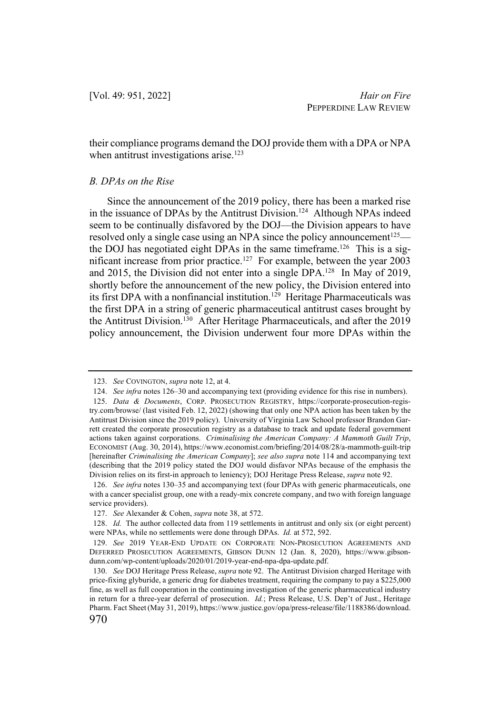their compliance programs demand the DOJ provide them with a DPA or NPA when antitrust investigations arise.<sup>123</sup>

#### *B. DPAs on the Rise*

Since the announcement of the 2019 policy, there has been a marked rise in the issuance of DPAs by the Antitrust Division.<sup>124</sup> Although NPAs indeed seem to be continually disfavored by the DOJ—the Division appears to have resolved only a single case using an NPA since the policy announcement<sup>125</sup> the DOJ has negotiated eight DPAs in the same timeframe.<sup>126</sup> This is a significant increase from prior practice.<sup>127</sup> For example, between the year  $2003$ and 2015, the Division did not enter into a single DPA.128 In May of 2019, shortly before the announcement of the new policy, the Division entered into its first DPA with a nonfinancial institution.<sup>129</sup> Heritage Pharmaceuticals was the first DPA in a string of generic pharmaceutical antitrust cases brought by the Antitrust Division.<sup>130</sup> After Heritage Pharmaceuticals, and after the 2019 policy announcement, the Division underwent four more DPAs within the

<sup>123.</sup> *See* COVINGTON, *supra* note 12, at 4.

<sup>124.</sup> *See infra* notes 126–30 and accompanying text (providing evidence for this rise in numbers).

<sup>125.</sup> *Data & Documents*, CORP. PROSECUTION REGISTRY, https://corporate-prosecution-registry.com/browse/ (last visited Feb. 12, 2022) (showing that only one NPA action has been taken by the Antitrust Division since the 2019 policy). University of Virginia Law School professor Brandon Garrett created the corporate prosecution registry as a database to track and update federal government actions taken against corporations. *Criminalising the American Company: A Mammoth Guilt Trip*, ECONOMIST (Aug. 30, 2014), https://www.economist.com/briefing/2014/08/28/a-mammoth-guilt-trip [hereinafter *Criminalising the American Company*]; *see also supra* note 114 and accompanying text (describing that the 2019 policy stated the DOJ would disfavor NPAs because of the emphasis the Division relies on its first-in approach to leniency); DOJ Heritage Press Release, *supra* note 92.

<sup>126.</sup> *See infra* notes 130–35 and accompanying text (four DPAs with generic pharmaceuticals, one with a cancer specialist group, one with a ready-mix concrete company, and two with foreign language service providers).

<sup>127.</sup> *See* Alexander & Cohen, *supra* note 38, at 572.

<sup>128.</sup> *Id.* The author collected data from 119 settlements in antitrust and only six (or eight percent) were NPAs, while no settlements were done through DPAs. *Id.* at 572, 592.

<sup>129.</sup> *See* 2019 YEAR-END UPDATE ON CORPORATE NON-PROSECUTION AGREEMENTS AND DEFERRED PROSECUTION AGREEMENTS, GIBSON DUNN 12 (Jan. 8, 2020), https://www.gibsondunn.com/wp-content/uploads/2020/01/2019-year-end-npa-dpa-update.pdf.

<sup>130.</sup> *See* DOJ Heritage Press Release, *supra* note 92. The Antitrust Division charged Heritage with price-fixing glyburide, a generic drug for diabetes treatment, requiring the company to pay a \$225,000 fine, as well as full cooperation in the continuing investigation of the generic pharmaceutical industry in return for a three-year deferral of prosecution. *Id.*; Press Release, U.S. Dep't of Just., Heritage Pharm. Fact Sheet(May 31, 2019), https://www.justice.gov/opa/press-release/file/1188386/download.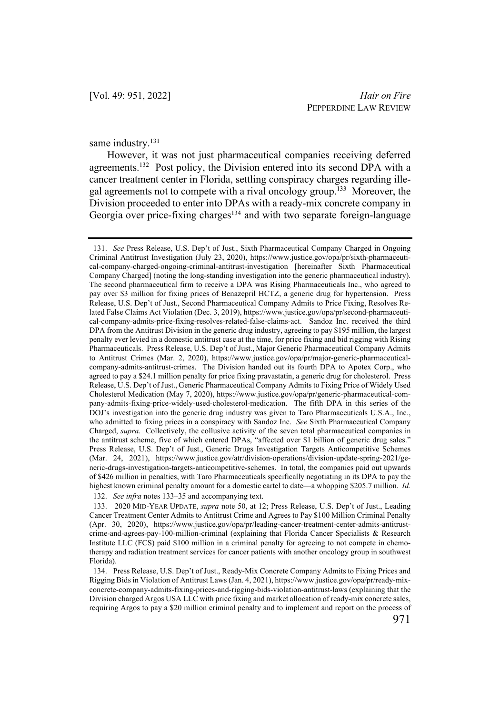same industry.<sup>131</sup>

However, it was not just pharmaceutical companies receiving deferred agreements.132 Post policy, the Division entered into its second DPA with a cancer treatment center in Florida, settling conspiracy charges regarding illegal agreements not to compete with a rival oncology group.<sup>133</sup> Moreover, the Division proceeded to enter into DPAs with a ready-mix concrete company in Georgia over price-fixing charges<sup>134</sup> and with two separate foreign-language

<sup>131.</sup> *See* Press Release, U.S. Dep't of Just., Sixth Pharmaceutical Company Charged in Ongoing Criminal Antitrust Investigation (July 23, 2020), https://www.justice.gov/opa/pr/sixth-pharmaceutical-company-charged-ongoing-criminal-antitrust-investigation [hereinafter Sixth Pharmaceutical Company Charged] (noting the long-standing investigation into the generic pharmaceutical industry). The second pharmaceutical firm to receive a DPA was Rising Pharmaceuticals Inc., who agreed to pay over \$3 million for fixing prices of Benazepril HCTZ, a generic drug for hypertension. Press Release, U.S. Dep't of Just., Second Pharmaceutical Company Admits to Price Fixing, Resolves Related False Claims Act Violation (Dec. 3, 2019), https://www.justice.gov/opa/pr/second-pharmaceutical-company-admits-price-fixing-resolves-related-false-claims-act. Sandoz Inc. received the third DPA from the Antitrust Division in the generic drug industry, agreeing to pay \$195 million, the largest penalty ever levied in a domestic antitrust case at the time, for price fixing and bid rigging with Rising Pharmaceuticals. Press Release, U.S. Dep't of Just., Major Generic Pharmaceutical Company Admits to Antitrust Crimes (Mar. 2, 2020), https://www.justice.gov/opa/pr/major-generic-pharmaceuticalcompany-admits-antitrust-crimes. The Division handed out its fourth DPA to Apotex Corp., who agreed to pay a \$24.1 million penalty for price fixing pravastatin, a generic drug for cholesterol. Press Release, U.S. Dep't of Just., Generic Pharmaceutical Company Admits to Fixing Price of Widely Used Cholesterol Medication (May 7, 2020), https://www.justice.gov/opa/pr/generic-pharmaceutical-company-admits-fixing-price-widely-used-cholesterol-medication. The fifth DPA in this series of the DOJ's investigation into the generic drug industry was given to Taro Pharmaceuticals U.S.A., Inc., who admitted to fixing prices in a conspiracy with Sandoz Inc. *See* Sixth Pharmaceutical Company Charged, *supra*. Collectively, the collusive activity of the seven total pharmaceutical companies in the antitrust scheme, five of which entered DPAs, "affected over \$1 billion of generic drug sales." Press Release, U.S. Dep't of Just., Generic Drugs Investigation Targets Anticompetitive Schemes (Mar. 24, 2021), https://www.justice.gov/atr/division-operations/division-update-spring-2021/generic-drugs-investigation-targets-anticompetitive-schemes. In total, the companies paid out upwards of \$426 million in penalties, with Taro Pharmaceuticals specifically negotiating in its DPA to pay the highest known criminal penalty amount for a domestic cartel to date—a whopping \$205.7 million. *Id.* 132. *See infra* notes 133–35 and accompanying text.

<sup>133.</sup> 2020 MID-YEAR UPDATE, *supra* note 50, at 12; Press Release, U.S. Dep't of Just., Leading Cancer Treatment Center Admits to Antitrust Crime and Agrees to Pay \$100 Million Criminal Penalty (Apr. 30, 2020), https://www.justice.gov/opa/pr/leading-cancer-treatment-center-admits-antitrustcrime-and-agrees-pay-100-million-criminal (explaining that Florida Cancer Specialists & Research Institute LLC (FCS) paid \$100 million in a criminal penalty for agreeing to not compete in chemotherapy and radiation treatment services for cancer patients with another oncology group in southwest Florida).

<sup>134.</sup> Press Release, U.S. Dep't of Just., Ready-Mix Concrete Company Admits to Fixing Prices and Rigging Bids in Violation of Antitrust Laws (Jan. 4, 2021), https://www.justice.gov/opa/pr/ready-mixconcrete-company-admits-fixing-prices-and-rigging-bids-violation-antitrust-laws (explaining that the Division charged Argos USA LLC with price fixing and market allocation of ready-mix concrete sales, requiring Argos to pay a \$20 million criminal penalty and to implement and report on the process of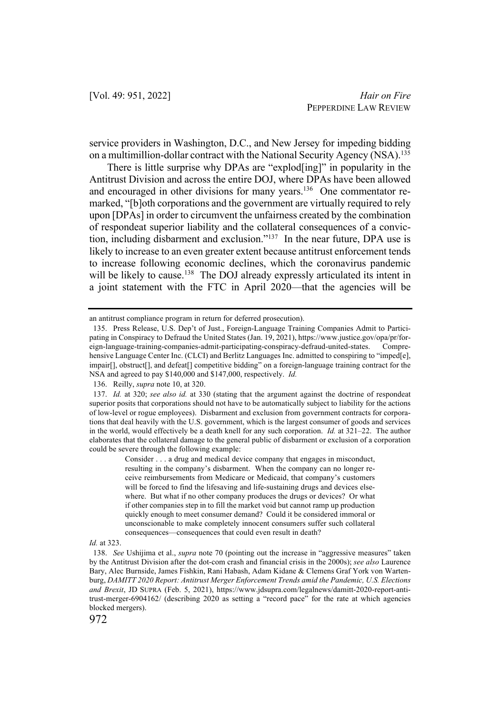service providers in Washington, D.C., and New Jersey for impeding bidding on a multimillion-dollar contract with the National Security Agency (NSA).135

There is little surprise why DPAs are "explod[ing]" in popularity in the Antitrust Division and across the entire DOJ, where DPAs have been allowed and encouraged in other divisions for many years.<sup>136</sup> One commentator remarked, "[b]oth corporations and the government are virtually required to rely upon [DPAs] in order to circumvent the unfairness created by the combination of respondeat superior liability and the collateral consequences of a conviction, including disbarment and exclusion."137 In the near future, DPA use is likely to increase to an even greater extent because antitrust enforcement tends to increase following economic declines, which the coronavirus pandemic will be likely to cause.<sup>138</sup> The DOJ already expressly articulated its intent in a joint statement with the FTC in April 2020—that the agencies will be

Consider . . . a drug and medical device company that engages in misconduct, resulting in the company's disbarment. When the company can no longer receive reimbursements from Medicare or Medicaid, that company's customers will be forced to find the lifesaving and life-sustaining drugs and devices elsewhere. But what if no other company produces the drugs or devices? Or what if other companies step in to fill the market void but cannot ramp up production quickly enough to meet consumer demand? Could it be considered immoral or unconscionable to make completely innocent consumers suffer such collateral consequences—consequences that could even result in death?

#### *Id.* at 323.

an antitrust compliance program in return for deferred prosecution).

<sup>135.</sup> Press Release, U.S. Dep't of Just., Foreign-Language Training Companies Admit to Participating in Conspiracy to Defraud the United States (Jan. 19, 2021), https://www.justice.gov/opa/pr/foreign-language-training-companies-admit-participating-conspiracy-defraud-united-states. Comprehensive Language Center Inc. (CLCI) and Berlitz Languages Inc. admitted to conspiring to "imped[e], impair[], obstruct[], and defeat[] competitive bidding" on a foreign-language training contract for the NSA and agreed to pay \$140,000 and \$147,000, respectively. *Id.*

<sup>136.</sup> Reilly, *supra* note 10, at 320.

<sup>137.</sup> *Id.* at 320; *see also id.* at 330 (stating that the argument against the doctrine of respondeat superior posits that corporations should not have to be automatically subject to liability for the actions of low-level or rogue employees). Disbarment and exclusion from government contracts for corporations that deal heavily with the U.S. government, which is the largest consumer of goods and services in the world, would effectively be a death knell for any such corporation. *Id.* at 321–22. The author elaborates that the collateral damage to the general public of disbarment or exclusion of a corporation could be severe through the following example:

<sup>138.</sup> *See* Ushijima et al., *supra* note 70 (pointing out the increase in "aggressive measures" taken by the Antitrust Division after the dot-com crash and financial crisis in the 2000s); *see also* Laurence Bary, Alec Burnside, James Fishkin, Rani Habash, Adam Kidane & Clemens Graf York von Wartenburg, *DAMITT 2020 Report: Antitrust Merger Enforcement Trends amid the Pandemic, U.S. Elections and Brexit*, JD SUPRA (Feb. 5, 2021), https://www.jdsupra.com/legalnews/damitt-2020-report-antitrust-merger-6904162/ (describing 2020 as setting a "record pace" for the rate at which agencies blocked mergers).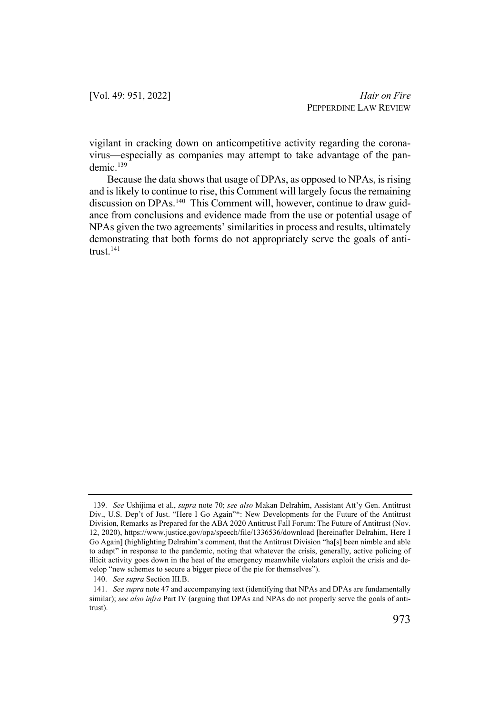vigilant in cracking down on anticompetitive activity regarding the coronavirus—especially as companies may attempt to take advantage of the pandemic.<sup>139</sup>

Because the data shows that usage of DPAs, as opposed to NPAs, is rising and is likely to continue to rise, this Comment will largely focus the remaining discussion on DPAs.<sup>140</sup> This Comment will, however, continue to draw guidance from conclusions and evidence made from the use or potential usage of NPAs given the two agreements' similarities in process and results, ultimately demonstrating that both forms do not appropriately serve the goals of antitrust.141

<sup>139.</sup> *See* Ushijima et al., *supra* note 70; *see also* Makan Delrahim, Assistant Att'y Gen. Antitrust Div., U.S. Dep't of Just. "Here I Go Again"\*: New Developments for the Future of the Antitrust Division, Remarks as Prepared for the ABA 2020 Antitrust Fall Forum: The Future of Antitrust (Nov. 12, 2020), https://www.justice.gov/opa/speech/file/1336536/download [hereinafter Delrahim, Here I Go Again] (highlighting Delrahim's comment, that the Antitrust Division "ha[s] been nimble and able to adapt" in response to the pandemic, noting that whatever the crisis, generally, active policing of illicit activity goes down in the heat of the emergency meanwhile violators exploit the crisis and develop "new schemes to secure a bigger piece of the pie for themselves").

<sup>140.</sup> *See supra* Section III.B.

<sup>141.</sup> *See supra* note 47 and accompanying text (identifying that NPAs and DPAs are fundamentally similar); see also infra Part IV (arguing that DPAs and NPAs do not properly serve the goals of antitrust).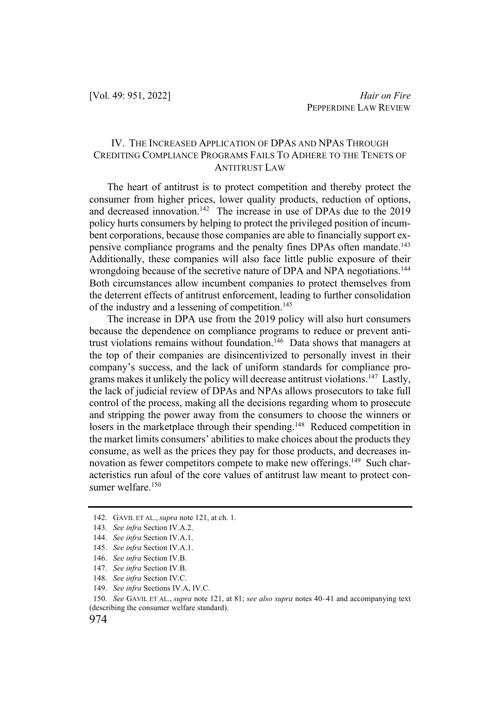## IV. THE INCREASED APPLICATION OF DPAS AND NPAS THROUGH CREDITING COMPLIANCE PROGRAMS FAILS TO ADHERE TO THE TENETS OF ANTITRUST LAW

The heart of antitrust is to protect competition and thereby protect the consumer from higher prices, lower quality products, reduction of options, and decreased innovation.<sup>142</sup> The increase in use of DPAs due to the  $2019$ policy hurts consumers by helping to protect the privileged position of incumbent corporations, because those companies are able to financially support expensive compliance programs and the penalty fines DPAs often mandate.<sup>143</sup> Additionally, these companies will also face little public exposure of their wrongdoing because of the secretive nature of DPA and NPA negotiations.<sup>144</sup> Both circumstances allow incumbent companies to protect themselves from the deterrent effects of antitrust enforcement, leading to further consolidation of the industry and a lessening of competition.<sup>145</sup>

The increase in DPA use from the 2019 policy will also hurt consumers because the dependence on compliance programs to reduce or prevent antitrust violations remains without foundation.146 Data shows that managers at the top of their companies are disincentivized to personally invest in their company's success, and the lack of uniform standards for compliance programs makes it unlikely the policy will decrease antitrust violations.147 Lastly, the lack of judicial review of DPAs and NPAs allows prosecutors to take full control of the process, making all the decisions regarding whom to prosecute and stripping the power away from the consumers to choose the winners or losers in the marketplace through their spending.<sup>148</sup> Reduced competition in the market limits consumers' abilities to make choices about the products they consume, as well as the prices they pay for those products, and decreases innovation as fewer competitors compete to make new offerings.<sup>149</sup> Such characteristics run afoul of the core values of antitrust law meant to protect consumer welfare.<sup>150</sup>

<sup>142.</sup> GAVIL ET AL., *supra* note 121, at ch. 1.

<sup>143.</sup> *See infra* Section IV.A.2.

<sup>144.</sup> *See infra* Section IV.A.1.

<sup>145.</sup> *See infra* Section IV.A.1.

<sup>146.</sup> *See infra* Section IV.B.

<sup>147.</sup> *See infra* Section IV.B.

<sup>148.</sup> *See infra* Section IV.C.

<sup>149.</sup> *See infra* Sections IV.A, IV.C.

<sup>150.</sup> *See* GAVIL ET AL., *supra* note 121, at 81; *see also supra* notes 40–41 and accompanying text (describing the consumer welfare standard).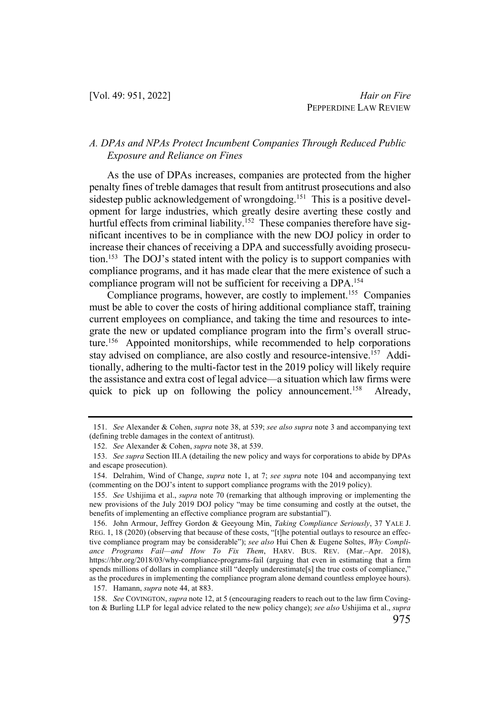## *A. DPAs and NPAs Protect Incumbent Companies Through Reduced Public Exposure and Reliance on Fines*

As the use of DPAs increases, companies are protected from the higher penalty fines of treble damages that result from antitrust prosecutions and also sidestep public acknowledgement of wrongdoing.<sup>151</sup> This is a positive development for large industries, which greatly desire averting these costly and hurtful effects from criminal liability.<sup>152</sup> These companies therefore have significant incentives to be in compliance with the new DOJ policy in order to increase their chances of receiving a DPA and successfully avoiding prosecution.<sup>153</sup> The DOJ's stated intent with the policy is to support companies with compliance programs, and it has made clear that the mere existence of such a compliance program will not be sufficient for receiving a DPA.<sup>154</sup>

Compliance programs, however, are costly to implement.<sup>155</sup> Companies must be able to cover the costs of hiring additional compliance staff, training current employees on compliance, and taking the time and resources to integrate the new or updated compliance program into the firm's overall structure.156 Appointed monitorships, while recommended to help corporations stay advised on compliance, are also costly and resource-intensive.<sup>157</sup> Additionally, adhering to the multi-factor test in the 2019 policy will likely require the assistance and extra cost of legal advice—a situation which law firms were quick to pick up on following the policy announcement.<sup>158</sup> Already,

<sup>151.</sup> *See* Alexander & Cohen, *supra* note 38, at 539; *see also supra* note 3 and accompanying text (defining treble damages in the context of antitrust).

<sup>152.</sup> *See* Alexander & Cohen, *supra* note 38, at 539.

<sup>153.</sup> *See supra* Section III.A (detailing the new policy and ways for corporations to abide by DPAs and escape prosecution).

<sup>154.</sup> Delrahim, Wind of Change, *supra* note 1, at 7; *see supra* note 104 and accompanying text (commenting on the DOJ's intent to support compliance programs with the 2019 policy).

<sup>155.</sup> *See* Ushijima et al., *supra* note 70 (remarking that although improving or implementing the new provisions of the July 2019 DOJ policy "may be time consuming and costly at the outset, the benefits of implementing an effective compliance program are substantial").

<sup>156.</sup> John Armour, Jeffrey Gordon & Geeyoung Min, *Taking Compliance Seriously*, 37 YALE J. REG. 1, 18 (2020) (observing that because of these costs, "[t]he potential outlays to resource an effective compliance program may be considerable"); *see also* Hui Chen & Eugene Soltes, *Why Compliance Programs Fail—and How To Fix Them*, HARV. BUS. REV. (Mar.–Apr. 2018), https://hbr.org/2018/03/why-compliance-programs-fail (arguing that even in estimating that a firm spends millions of dollars in compliance still "deeply underestimate<sup>[s]</sup> the true costs of compliance," as the procedures in implementing the compliance program alone demand countless employee hours). 157. Hamann, *supra* note 44, at 883.

<sup>158.</sup> *See* COVINGTON, *supra* note 12, at 5 (encouraging readers to reach out to the law firm Covington & Burling LLP for legal advice related to the new policy change); *see also* Ushijima et al., *supra*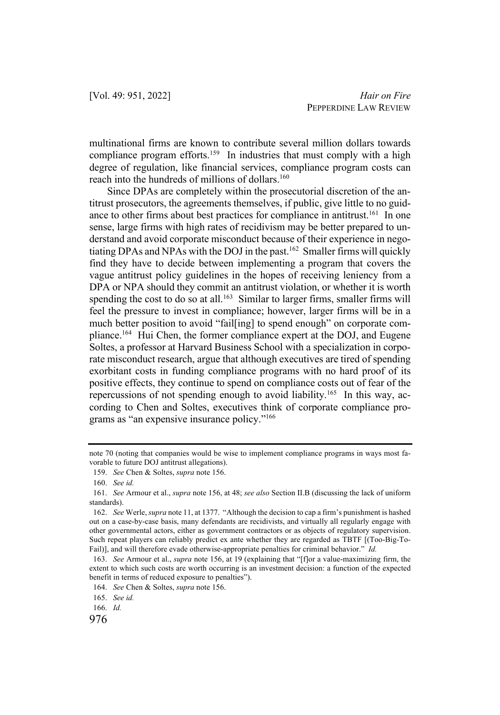multinational firms are known to contribute several million dollars towards compliance program efforts.<sup>159</sup> In industries that must comply with a high degree of regulation, like financial services, compliance program costs can reach into the hundreds of millions of dollars.<sup>160</sup>

Since DPAs are completely within the prosecutorial discretion of the antitrust prosecutors, the agreements themselves, if public, give little to no guidance to other firms about best practices for compliance in antitrust.<sup>161</sup> In one sense, large firms with high rates of recidivism may be better prepared to understand and avoid corporate misconduct because of their experience in negotiating DPAs and NPAs with the DOJ in the past.<sup>162</sup> Smaller firms will quickly find they have to decide between implementing a program that covers the vague antitrust policy guidelines in the hopes of receiving leniency from a DPA or NPA should they commit an antitrust violation, or whether it is worth spending the cost to do so at all.<sup>163</sup> Similar to larger firms, smaller firms will feel the pressure to invest in compliance; however, larger firms will be in a much better position to avoid "fail[ing] to spend enough" on corporate compliance.164 Hui Chen, the former compliance expert at the DOJ, and Eugene Soltes, a professor at Harvard Business School with a specialization in corporate misconduct research, argue that although executives are tired of spending exorbitant costs in funding compliance programs with no hard proof of its positive effects, they continue to spend on compliance costs out of fear of the repercussions of not spending enough to avoid liability.165 In this way, according to Chen and Soltes, executives think of corporate compliance programs as "an expensive insurance policy."166

note 70 (noting that companies would be wise to implement compliance programs in ways most favorable to future DOJ antitrust allegations).

<sup>159.</sup> *See* Chen & Soltes, *supra* note 156.

<sup>160.</sup> *See id.*

<sup>161.</sup> *See* Armour et al., *supra* note 156, at 48; *see also* Section II.B (discussing the lack of uniform standards).

<sup>162.</sup> *See* Werle, *supra* note 11, at 1377. "Although the decision to cap a firm's punishment is hashed out on a case-by-case basis, many defendants are recidivists, and virtually all regularly engage with other governmental actors, either as government contractors or as objects of regulatory supervision. Such repeat players can reliably predict ex ante whether they are regarded as TBTF [(Too-Big-To-Fail)], and will therefore evade otherwise-appropriate penalties for criminal behavior." *Id.*

<sup>163.</sup> *See* Armour et al., *supra* note 156, at 19 (explaining that "[f]or a value-maximizing firm, the extent to which such costs are worth occurring is an investment decision: a function of the expected benefit in terms of reduced exposure to penalties").

<sup>164.</sup> *See* Chen & Soltes, *supra* note 156.

<sup>165.</sup> *See id.*

<sup>166.</sup> *Id.*

<sup>976</sup>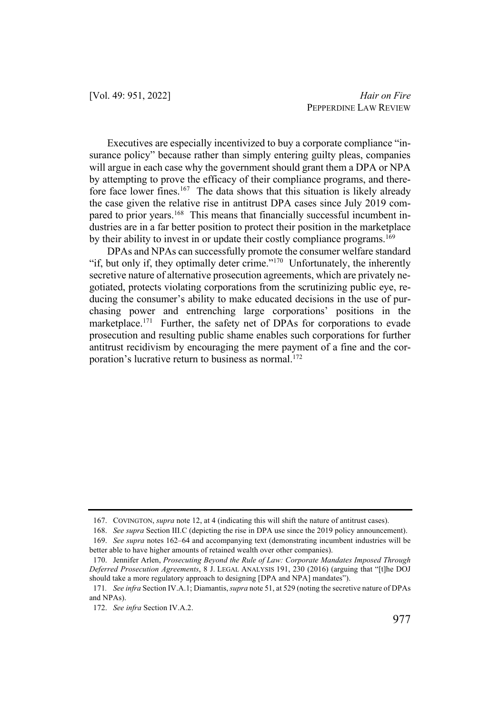Executives are especially incentivized to buy a corporate compliance "insurance policy" because rather than simply entering guilty pleas, companies will argue in each case why the government should grant them a DPA or NPA by attempting to prove the efficacy of their compliance programs, and therefore face lower fines.<sup>167</sup> The data shows that this situation is likely already the case given the relative rise in antitrust DPA cases since July 2019 compared to prior years.<sup>168</sup> This means that financially successful incumbent industries are in a far better position to protect their position in the marketplace by their ability to invest in or update their costly compliance programs.<sup>169</sup>

DPAs and NPAs can successfully promote the consumer welfare standard "if, but only if, they optimally deter crime."<sup>170</sup> Unfortunately, the inherently secretive nature of alternative prosecution agreements, which are privately negotiated, protects violating corporations from the scrutinizing public eye, reducing the consumer's ability to make educated decisions in the use of purchasing power and entrenching large corporations' positions in the marketplace.<sup>171</sup> Further, the safety net of DPAs for corporations to evade prosecution and resulting public shame enables such corporations for further antitrust recidivism by encouraging the mere payment of a fine and the corporation's lucrative return to business as normal.<sup>172</sup>

<sup>167.</sup> COVINGTON, *supra* note 12, at 4 (indicating this will shift the nature of antitrust cases).

<sup>168.</sup> *See supra* Section III.C (depicting the rise in DPA use since the 2019 policy announcement). 169. *See supra* notes 162–64 and accompanying text (demonstrating incumbent industries will be

better able to have higher amounts of retained wealth over other companies).

<sup>170.</sup> Jennifer Arlen, *Prosecuting Beyond the Rule of Law: Corporate Mandates Imposed Through Deferred Prosecution Agreements*, 8 J. LEGAL ANALYSIS 191, 230 (2016) (arguing that "[t]he DOJ should take a more regulatory approach to designing [DPA and NPA] mandates").

<sup>171</sup>*. See infra* Section IV.A.1; Diamantis, *supra* note 51, at 529 (noting the secretive nature of DPAs and NPAs).

<sup>172.</sup> *See infra* Section IV.A.2.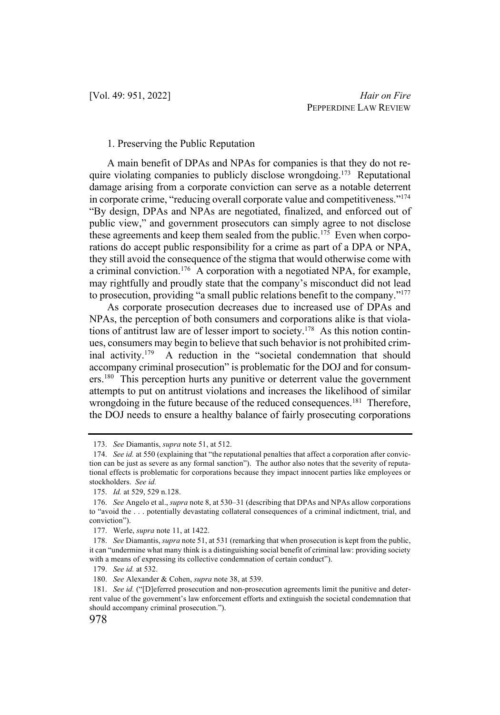#### 1. Preserving the Public Reputation

A main benefit of DPAs and NPAs for companies is that they do not require violating companies to publicly disclose wrongdoing.<sup>173</sup> Reputational damage arising from a corporate conviction can serve as a notable deterrent in corporate crime, "reducing overall corporate value and competitiveness."174 "By design, DPAs and NPAs are negotiated, finalized, and enforced out of public view," and government prosecutors can simply agree to not disclose these agreements and keep them sealed from the public.<sup>175</sup> Even when corporations do accept public responsibility for a crime as part of a DPA or NPA, they still avoid the consequence of the stigma that would otherwise come with a criminal conviction.<sup>176</sup> A corporation with a negotiated NPA, for example, may rightfully and proudly state that the company's misconduct did not lead to prosecution, providing "a small public relations benefit to the company."177

As corporate prosecution decreases due to increased use of DPAs and NPAs, the perception of both consumers and corporations alike is that violations of antitrust law are of lesser import to society.<sup>178</sup> As this notion continues, consumers may begin to believe that such behavior is not prohibited criminal activity.179 A reduction in the "societal condemnation that should accompany criminal prosecution" is problematic for the DOJ and for consumers.<sup>180</sup> This perception hurts any punitive or deterrent value the government attempts to put on antitrust violations and increases the likelihood of similar wrongdoing in the future because of the reduced consequences.<sup>181</sup> Therefore, the DOJ needs to ensure a healthy balance of fairly prosecuting corporations

<sup>173.</sup> *See* Diamantis, *supra* note 51, at 512.

<sup>174.</sup> *See id.* at 550 (explaining that "the reputational penalties that affect a corporation after conviction can be just as severe as any formal sanction"). The author also notes that the severity of reputational effects is problematic for corporations because they impact innocent parties like employees or stockholders. *See id.*

<sup>175.</sup> *Id.* at 529, 529 n.128.

<sup>176.</sup> *See* Angelo et al., *supra* note 8, at 530–31 (describing that DPAs and NPAs allow corporations to "avoid the . . . potentially devastating collateral consequences of a criminal indictment, trial, and conviction").

<sup>177.</sup> Werle, *supra* note 11, at 1422.

<sup>178.</sup> *See* Diamantis, *supra* note 51, at 531 (remarking that when prosecution is kept from the public, it can "undermine what many think is a distinguishing social benefit of criminal law: providing society with a means of expressing its collective condemnation of certain conduct").

<sup>179.</sup> *See id.* at 532.

<sup>180.</sup> *See* Alexander & Cohen, *supra* note 38, at 539.

<sup>181.</sup> *See id.* ("[D]eferred prosecution and non-prosecution agreements limit the punitive and deterrent value of the government's law enforcement efforts and extinguish the societal condemnation that should accompany criminal prosecution.").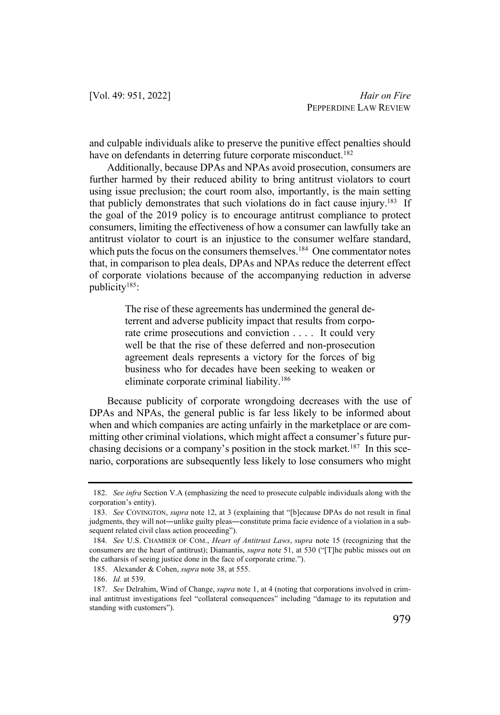and culpable individuals alike to preserve the punitive effect penalties should have on defendants in deterring future corporate misconduct.<sup>182</sup>

Additionally, because DPAs and NPAs avoid prosecution, consumers are further harmed by their reduced ability to bring antitrust violators to court using issue preclusion; the court room also, importantly, is the main setting that publicly demonstrates that such violations do in fact cause injury.<sup>183</sup> If the goal of the 2019 policy is to encourage antitrust compliance to protect consumers, limiting the effectiveness of how a consumer can lawfully take an antitrust violator to court is an injustice to the consumer welfare standard, which puts the focus on the consumers themselves.<sup>184</sup> One commentator notes that, in comparison to plea deals, DPAs and NPAs reduce the deterrent effect of corporate violations because of the accompanying reduction in adverse publicity<sup>185</sup>:

> The rise of these agreements has undermined the general deterrent and adverse publicity impact that results from corporate crime prosecutions and conviction . . . . It could very well be that the rise of these deferred and non-prosecution agreement deals represents a victory for the forces of big business who for decades have been seeking to weaken or eliminate corporate criminal liability.<sup>186</sup>

Because publicity of corporate wrongdoing decreases with the use of DPAs and NPAs, the general public is far less likely to be informed about when and which companies are acting unfairly in the marketplace or are committing other criminal violations, which might affect a consumer's future purchasing decisions or a company's position in the stock market.<sup>187</sup> In this scenario, corporations are subsequently less likely to lose consumers who might

<sup>182.</sup> *See infra* Section V.A (emphasizing the need to prosecute culpable individuals along with the corporation's entity).

<sup>183.</sup> *See* COVINGTON, *supra* note 12, at 3 (explaining that "[b]ecause DPAs do not result in final judgments, they will not―unlike guilty pleas―constitute prima facie evidence of a violation in a subsequent related civil class action proceeding").

<sup>184.</sup> *See* U.S. CHAMBER OF COM., *Heart of Antitrust Laws*, *supra* note 15 (recognizing that the consumers are the heart of antitrust); Diamantis, *supra* note 51, at 530 ("[T]he public misses out on the catharsis of seeing justice done in the face of corporate crime.").

<sup>185.</sup> Alexander & Cohen, *supra* note 38, at 555.

<sup>186.</sup> *Id.* at 539.

<sup>187.</sup> *See* Delrahim, Wind of Change, *supra* note 1, at 4 (noting that corporations involved in criminal antitrust investigations feel "collateral consequences" including "damage to its reputation and standing with customers").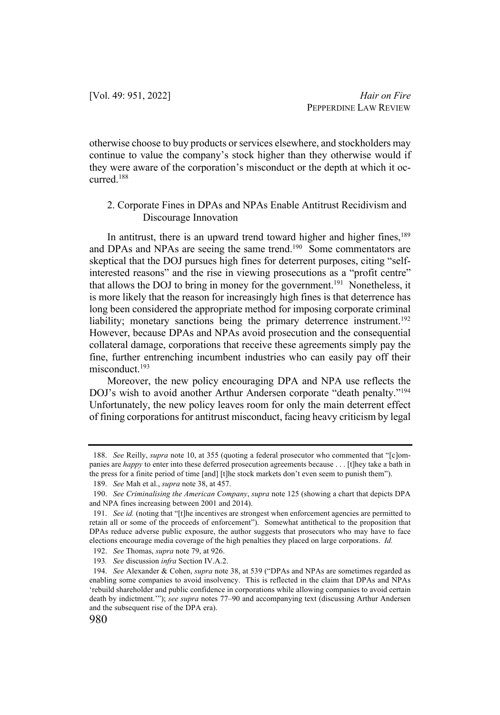otherwise choose to buy products or services elsewhere, and stockholders may continue to value the company's stock higher than they otherwise would if they were aware of the corporation's misconduct or the depth at which it occurred<sup>188</sup>

## 2. Corporate Fines in DPAs and NPAs Enable Antitrust Recidivism and Discourage Innovation

In antitrust, there is an upward trend toward higher and higher fines, $189$ and DPAs and NPAs are seeing the same trend.<sup>190</sup> Some commentators are skeptical that the DOJ pursues high fines for deterrent purposes, citing "selfinterested reasons" and the rise in viewing prosecutions as a "profit centre" that allows the DOJ to bring in money for the government.<sup>191</sup> Nonetheless, it is more likely that the reason for increasingly high fines is that deterrence has long been considered the appropriate method for imposing corporate criminal liability; monetary sanctions being the primary deterrence instrument.<sup>192</sup> However, because DPAs and NPAs avoid prosecution and the consequential collateral damage, corporations that receive these agreements simply pay the fine, further entrenching incumbent industries who can easily pay off their misconduct.193

Moreover, the new policy encouraging DPA and NPA use reflects the DOJ's wish to avoid another Arthur Andersen corporate "death penalty."<sup>194</sup> Unfortunately, the new policy leaves room for only the main deterrent effect of fining corporations for antitrust misconduct, facing heavy criticism by legal

<sup>188.</sup> *See* Reilly, *supra* note 10, at 355 (quoting a federal prosecutor who commented that "[c]ompanies are *happy* to enter into these deferred prosecution agreements because . . . [t]hey take a bath in the press for a finite period of time [and] [t]he stock markets don't even seem to punish them").

<sup>189.</sup> *See* Mah et al., *supra* note 38, at 457.

<sup>190.</sup> *See Criminalising the American Company*, *supra* note 125 (showing a chart that depicts DPA and NPA fines increasing between 2001 and 2014).

<sup>191.</sup> *See id.* (noting that "[t]he incentives are strongest when enforcement agencies are permitted to retain all or some of the proceeds of enforcement"). Somewhat antithetical to the proposition that DPAs reduce adverse public exposure, the author suggests that prosecutors who may have to face elections encourage media coverage of the high penalties they placed on large corporations. *Id.*

<sup>192.</sup> *See* Thomas, *supra* note 79, at 926.

<sup>193</sup>*. See* discussion *infra* Section IV.A.2.

<sup>194.</sup> *See* Alexander & Cohen, *supra* note 38, at 539 ("DPAs and NPAs are sometimes regarded as enabling some companies to avoid insolvency. This is reflected in the claim that DPAs and NPAs 'rebuild shareholder and public confidence in corporations while allowing companies to avoid certain death by indictment.'"); *see supra* notes 77–90 and accompanying text (discussing Arthur Andersen and the subsequent rise of the DPA era).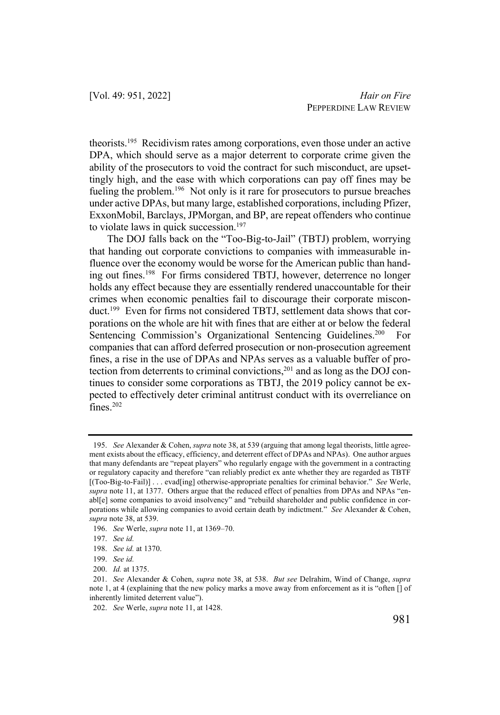theorists.195 Recidivism rates among corporations, even those under an active DPA, which should serve as a major deterrent to corporate crime given the ability of the prosecutors to void the contract for such misconduct, are upsettingly high, and the ease with which corporations can pay off fines may be fueling the problem.<sup>196</sup> Not only is it rare for prosecutors to pursue breaches under active DPAs, but many large, established corporations, including Pfizer, ExxonMobil, Barclays, JPMorgan, and BP, are repeat offenders who continue to violate laws in quick succession.<sup>197</sup>

The DOJ falls back on the "Too-Big-to-Jail" (TBTJ) problem, worrying that handing out corporate convictions to companies with immeasurable influence over the economy would be worse for the American public than handing out fines.198 For firms considered TBTJ, however, deterrence no longer holds any effect because they are essentially rendered unaccountable for their crimes when economic penalties fail to discourage their corporate misconduct.199 Even for firms not considered TBTJ, settlement data shows that corporations on the whole are hit with fines that are either at or below the federal Sentencing Commission's Organizational Sentencing Guidelines.<sup>200</sup> For companies that can afford deferred prosecution or non-prosecution agreement fines, a rise in the use of DPAs and NPAs serves as a valuable buffer of protection from deterrents to criminal convictions, $^{201}$  and as long as the DOJ continues to consider some corporations as TBTJ, the 2019 policy cannot be expected to effectively deter criminal antitrust conduct with its overreliance on fines.<sup>202</sup>

<sup>195.</sup> *See* Alexander & Cohen, *supra* note 38, at 539 (arguing that among legal theorists, little agreement exists about the efficacy, efficiency, and deterrent effect of DPAs and NPAs).One author argues that many defendants are "repeat players" who regularly engage with the government in a contracting or regulatory capacity and therefore "can reliably predict ex ante whether they are regarded as TBTF [(Too-Big-to-Fail)] . . . evad[ing] otherwise-appropriate penalties for criminal behavior."*See* Werle, *supra* note 11, at 1377. Others argue that the reduced effect of penalties from DPAs and NPAs "enabl[e] some companies to avoid insolvency" and "rebuild shareholder and public confidence in corporations while allowing companies to avoid certain death by indictment." *See* Alexander & Cohen, *supra* note 38, at 539.

<sup>196.</sup> *See* Werle, *supra* note 11, at 1369–70.

<sup>197.</sup> *See id.*

<sup>198.</sup> *See id.* at 1370.

<sup>199.</sup> *See id.*

<sup>200.</sup> *Id.* at 1375.

<sup>201.</sup> *See* Alexander & Cohen, *supra* note 38, at 538. *But see* Delrahim, Wind of Change, *supra* note 1, at 4 (explaining that the new policy marks a move away from enforcement as it is "often [] of inherently limited deterrent value").

<sup>202.</sup> *See* Werle, *supra* note 11, at 1428.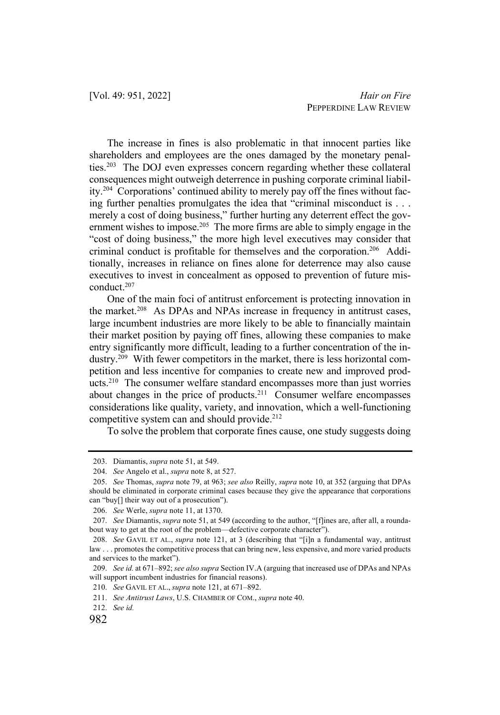The increase in fines is also problematic in that innocent parties like shareholders and employees are the ones damaged by the monetary penalties.<sup>203</sup> The DOJ even expresses concern regarding whether these collateral consequences might outweigh deterrence in pushing corporate criminal liability.204 Corporations' continued ability to merely pay off the fines without facing further penalties promulgates the idea that "criminal misconduct is . . . merely a cost of doing business," further hurting any deterrent effect the government wishes to impose.<sup>205</sup> The more firms are able to simply engage in the "cost of doing business," the more high level executives may consider that criminal conduct is profitable for themselves and the corporation.<sup>206</sup> Additionally, increases in reliance on fines alone for deterrence may also cause executives to invest in concealment as opposed to prevention of future misconduct.207

One of the main foci of antitrust enforcement is protecting innovation in the market.<sup>208</sup> As DPAs and NPAs increase in frequency in antitrust cases, large incumbent industries are more likely to be able to financially maintain their market position by paying off fines, allowing these companies to make entry significantly more difficult, leading to a further concentration of the industry.209 With fewer competitors in the market, there is less horizontal competition and less incentive for companies to create new and improved products.<sup>210</sup> The consumer welfare standard encompasses more than just worries about changes in the price of products.<sup>211</sup> Consumer welfare encompasses considerations like quality, variety, and innovation, which a well-functioning competitive system can and should provide.<sup>212</sup>

To solve the problem that corporate fines cause, one study suggests doing

212. *See id.*

<sup>203.</sup> Diamantis, *supra* note 51, at 549.

<sup>204.</sup> *See* Angelo et al., *supra* note 8, at 527.

<sup>205.</sup> *See* Thomas, *supra* note 79, at 963; *see also* Reilly, *supra* note 10, at 352 (arguing that DPAs should be eliminated in corporate criminal cases because they give the appearance that corporations can "buy[] their way out of a prosecution").

<sup>206.</sup> *See* Werle, *supra* note 11, at 1370.

<sup>207.</sup> *See* Diamantis, *supra* note 51, at 549 (according to the author, "[f]ines are, after all, a roundabout way to get at the root of the problem—defective corporate character").

<sup>208.</sup> *See* GAVIL ET AL., *supra* note 121, at 3 (describing that "[i]n a fundamental way, antitrust law . . . promotes the competitive process that can bring new, less expensive, and more varied products and services to the market").

<sup>209.</sup> *See id.* at 671–892; *see also supra* Section IV.A (arguing that increased use of DPAs and NPAs will support incumbent industries for financial reasons).

<sup>210.</sup> *See* GAVIL ET AL., *supra* note 121, at 671–892.

<sup>211.</sup> *See Antitrust Laws*, U.S. CHAMBER OF COM., *supra* note 40.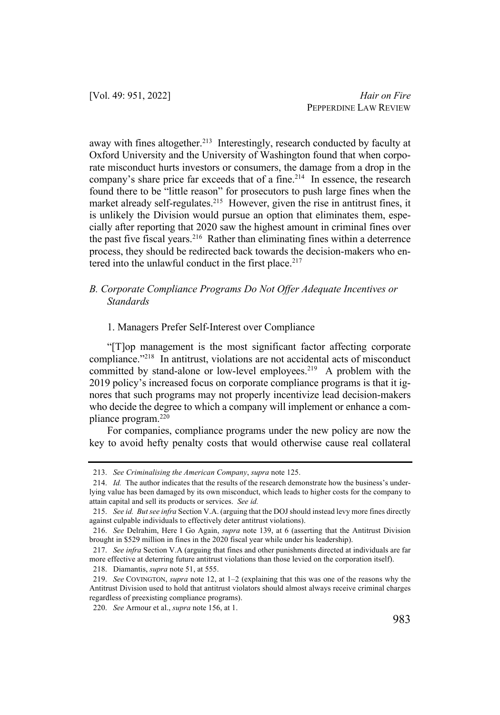away with fines altogether.<sup>213</sup> Interestingly, research conducted by faculty at Oxford University and the University of Washington found that when corporate misconduct hurts investors or consumers, the damage from a drop in the company's share price far exceeds that of a fine.<sup>214</sup> In essence, the research found there to be "little reason" for prosecutors to push large fines when the market already self-regulates.<sup>215</sup> However, given the rise in antitrust fines, it is unlikely the Division would pursue an option that eliminates them, especially after reporting that 2020 saw the highest amount in criminal fines over the past five fiscal years.<sup>216</sup> Rather than eliminating fines within a deterrence process, they should be redirected back towards the decision-makers who entered into the unlawful conduct in the first place. $217$ 

## *B. Corporate Compliance Programs Do Not Offer Adequate Incentives or Standards*

## 1. Managers Prefer Self-Interest over Compliance

"[T]op management is the most significant factor affecting corporate compliance."218 In antitrust, violations are not accidental acts of misconduct committed by stand-alone or low-level employees.<sup>219</sup> A problem with the 2019 policy's increased focus on corporate compliance programs is that it ignores that such programs may not properly incentivize lead decision-makers who decide the degree to which a company will implement or enhance a compliance program.220

For companies, compliance programs under the new policy are now the key to avoid hefty penalty costs that would otherwise cause real collateral

218. Diamantis, *supra* note 51, at 555.

<sup>213.</sup> *See Criminalising the American Company*, *supra* note 125.

<sup>214.</sup> *Id.* The author indicates that the results of the research demonstrate how the business's underlying value has been damaged by its own misconduct, which leads to higher costs for the company to attain capital and sell its products or services. *See id.*

<sup>215.</sup> *See id. But see infra* Section V.A. (arguing that the DOJ should instead levy more fines directly against culpable individuals to effectively deter antitrust violations).

<sup>216.</sup> *See* Delrahim, Here I Go Again, *supra* note 139, at 6 (asserting that the Antitrust Division brought in \$529 million in fines in the 2020 fiscal year while under his leadership).

<sup>217.</sup> *See infra* Section V.A (arguing that fines and other punishments directed at individuals are far more effective at deterring future antitrust violations than those levied on the corporation itself).

<sup>219.</sup> *See* COVINGTON, *supra* note 12, at 1–2 (explaining that this was one of the reasons why the Antitrust Division used to hold that antitrust violators should almost always receive criminal charges regardless of preexisting compliance programs).

<sup>220.</sup> *See* Armour et al., *supra* note 156, at 1.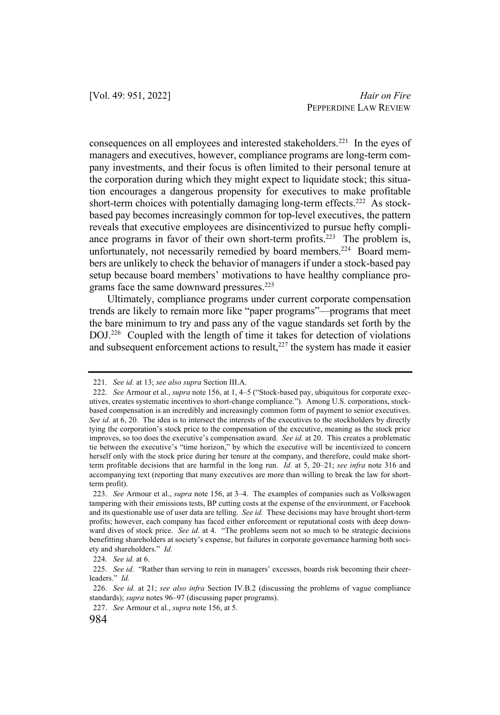consequences on all employees and interested stakeholders.221 In the eyes of managers and executives, however, compliance programs are long-term company investments, and their focus is often limited to their personal tenure at the corporation during which they might expect to liquidate stock; this situation encourages a dangerous propensity for executives to make profitable short-term choices with potentially damaging long-term effects.<sup>222</sup> As stockbased pay becomes increasingly common for top-level executives, the pattern reveals that executive employees are disincentivized to pursue hefty compliance programs in favor of their own short-term profits.<sup>223</sup> The problem is, unfortunately, not necessarily remedied by board members.<sup>224</sup> Board members are unlikely to check the behavior of managers if under a stock-based pay setup because board members' motivations to have healthy compliance programs face the same downward pressures.<sup>225</sup>

Ultimately, compliance programs under current corporate compensation trends are likely to remain more like "paper programs"—programs that meet the bare minimum to try and pass any of the vague standards set forth by the DOJ.<sup>226</sup> Coupled with the length of time it takes for detection of violations and subsequent enforcement actions to result, $227$  the system has made it easier

<sup>221.</sup> *See id.* at 13; *see also supra* Section III.A.

<sup>222.</sup> *See* Armour et al., *supra* note 156, at 1, 4–5 ("Stock-based pay, ubiquitous for corporate executives, creates systematic incentives to short-change compliance."). Among U.S. corporations, stockbased compensation is an incredibly and increasingly common form of payment to senior executives. *See id.* at 6, 20. The idea is to intersect the interests of the executives to the stockholders by directly tying the corporation's stock price to the compensation of the executive, meaning as the stock price improves, so too does the executive's compensation award. *See id.* at 20. This creates a problematic tie between the executive's "time horizon," by which the executive will be incentivized to concern herself only with the stock price during her tenure at the company, and therefore, could make shortterm profitable decisions that are harmful in the long run. *Id.* at 5, 20–21; *see infra* note 316 and accompanying text (reporting that many executives are more than willing to break the law for shortterm profit).

<sup>223.</sup> *See* Armour et al., *supra* note 156, at 3–4. The examples of companies such as Volkswagen tampering with their emissions tests, BP cutting costs at the expense of the environment, or Facebook and its questionable use of user data are telling. *See id.* These decisions may have brought short-term profits; however, each company has faced either enforcement or reputational costs with deep downward dives of stock price. *See id.* at 4. "The problems seem not so much to be strategic decisions benefitting shareholders at society's expense, but failures in corporate governance harming both society and shareholders." *Id.*

<sup>224.</sup> *See id.* at 6.

<sup>225.</sup> *See id.* "Rather than serving to rein in managers' excesses, boards risk becoming their cheerleaders." *Id.*

<sup>226.</sup> *See id.* at 21; *see also infra* Section IV.B.2 (discussing the problems of vague compliance standards); *supra* notes 96–97 (discussing paper programs).

<sup>227.</sup> *See* Armour et al., *supra* note 156, at 5.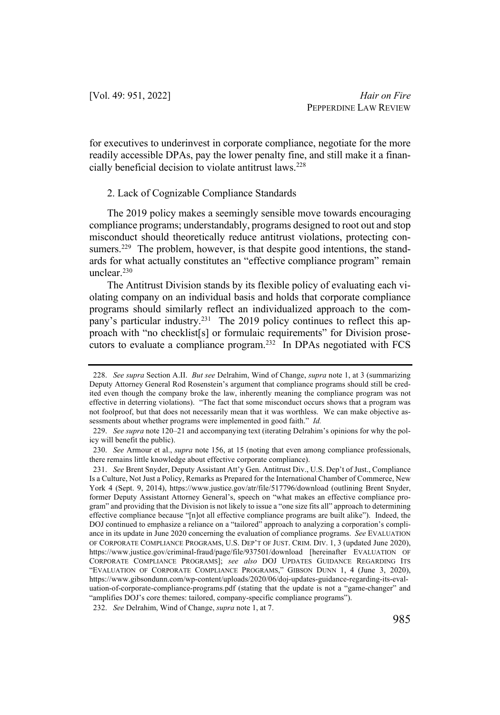for executives to underinvest in corporate compliance, negotiate for the more readily accessible DPAs, pay the lower penalty fine, and still make it a financially beneficial decision to violate antitrust laws.228

### 2. Lack of Cognizable Compliance Standards

The 2019 policy makes a seemingly sensible move towards encouraging compliance programs; understandably, programs designed to root out and stop misconduct should theoretically reduce antitrust violations, protecting consumers.<sup>229</sup> The problem, however, is that despite good intentions, the standards for what actually constitutes an "effective compliance program" remain unclear.230

The Antitrust Division stands by its flexible policy of evaluating each violating company on an individual basis and holds that corporate compliance programs should similarly reflect an individualized approach to the company's particular industry.231 The 2019 policy continues to reflect this approach with "no checklist[s] or formulaic requirements" for Division prosecutors to evaluate a compliance program.<sup>232</sup> In DPAs negotiated with FCS

<sup>228.</sup> *See supra* Section A.II. *But see* Delrahim, Wind of Change, *supra* note 1, at 3 (summarizing Deputy Attorney General Rod Rosenstein's argument that compliance programs should still be credited even though the company broke the law, inherently meaning the compliance program was not effective in deterring violations). "The fact that some misconduct occurs shows that a program was not foolproof, but that does not necessarily mean that it was worthless. We can make objective assessments about whether programs were implemented in good faith." *Id.*

<sup>229.</sup> *See supra* note 120–21 and accompanying text (iterating Delrahim's opinions for why the policy will benefit the public).

<sup>230.</sup> *See* Armour et al., *supra* note 156, at 15 (noting that even among compliance professionals, there remains little knowledge about effective corporate compliance).

<sup>231.</sup> *See* Brent Snyder, Deputy Assistant Att'y Gen. Antitrust Div., U.S. Dep't of Just., Compliance Is a Culture, Not Just a Policy, Remarks as Prepared for the International Chamber of Commerce, New York 4 (Sept. 9, 2014), https://www.justice.gov/atr/file/517796/download (outlining Brent Snyder, former Deputy Assistant Attorney General's, speech on "what makes an effective compliance program" and providing that the Division is not likely to issue a "one size fits all" approach to determining effective compliance because "[n]ot all effective compliance programs are built alike"). Indeed, the DOJ continued to emphasize a reliance on a "tailored" approach to analyzing a corporation's compliance in its update in June 2020 concerning the evaluation of compliance programs. *See* EVALUATION OF CORPORATE COMPLIANCE PROGRAMS, U.S. DEP'T OF JUST. CRIM. DIV. 1, 3 (updated June 2020), https://www.justice.gov/criminal-fraud/page/file/937501/download [hereinafter EVALUATION OF CORPORATE COMPLIANCE PROGRAMS]; *see also* DOJ UPDATES GUIDANCE REGARDING ITS "EVALUATION OF CORPORATE COMPLIANCE PROGRAMS," GIBSON DUNN 1, 4 (June 3, 2020), https://www.gibsondunn.com/wp-content/uploads/2020/06/doj-updates-guidance-regarding-its-evaluation-of-corporate-compliance-programs.pdf (stating that the update is not a "game-changer" and "amplifies DOJ's core themes: tailored, company-specific compliance programs").

<sup>232.</sup> *See* Delrahim, Wind of Change, *supra* note 1, at 7.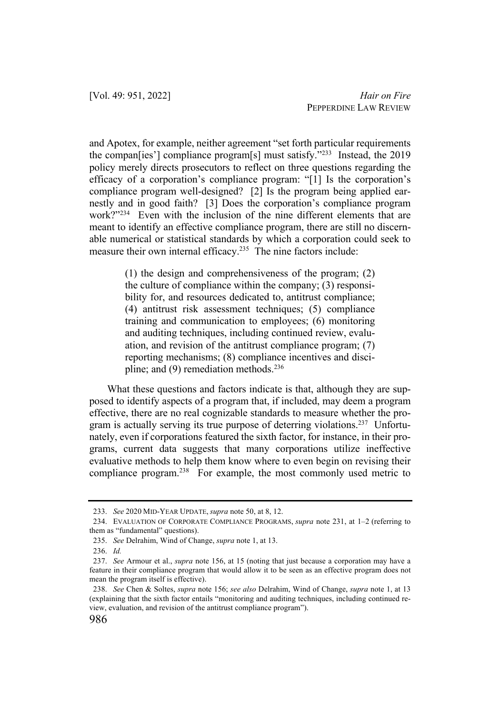and Apotex, for example, neither agreement "set forth particular requirements the compan[ies'] compliance program[s] must satisfy."233 Instead, the 2019 policy merely directs prosecutors to reflect on three questions regarding the efficacy of a corporation's compliance program: "[1] Is the corporation's compliance program well-designed? [2] Is the program being applied earnestly and in good faith? [3] Does the corporation's compliance program work?"234 Even with the inclusion of the nine different elements that are meant to identify an effective compliance program, there are still no discernable numerical or statistical standards by which a corporation could seek to measure their own internal efficacy.<sup>235</sup> The nine factors include:

> (1) the design and comprehensiveness of the program; (2) the culture of compliance within the company; (3) responsibility for, and resources dedicated to, antitrust compliance; (4) antitrust risk assessment techniques; (5) compliance training and communication to employees; (6) monitoring and auditing techniques, including continued review, evaluation, and revision of the antitrust compliance program; (7) reporting mechanisms; (8) compliance incentives and discipline; and  $(9)$  remediation methods.<sup>236</sup>

What these questions and factors indicate is that, although they are supposed to identify aspects of a program that, if included, may deem a program effective, there are no real cognizable standards to measure whether the program is actually serving its true purpose of deterring violations.<sup>237</sup> Unfortunately, even if corporations featured the sixth factor, for instance, in their programs, current data suggests that many corporations utilize ineffective evaluative methods to help them know where to even begin on revising their compliance program.238 For example, the most commonly used metric to

<sup>233.</sup> *See* 2020 MID-YEAR UPDATE, *supra* note 50, at 8, 12.

<sup>234.</sup> EVALUATION OF CORPORATE COMPLIANCE PROGRAMS, *supra* note 231, at 1–2 (referring to them as "fundamental" questions).

<sup>235.</sup> *See* Delrahim, Wind of Change, *supra* note 1, at 13.

<sup>236.</sup> *Id.*

<sup>237.</sup> *See* Armour et al., *supra* note 156, at 15 (noting that just because a corporation may have a feature in their compliance program that would allow it to be seen as an effective program does not mean the program itself is effective).

<sup>238.</sup> *See* Chen & Soltes, *supra* note 156; *see also* Delrahim, Wind of Change, *supra* note 1, at 13 (explaining that the sixth factor entails "monitoring and auditing techniques, including continued review, evaluation, and revision of the antitrust compliance program").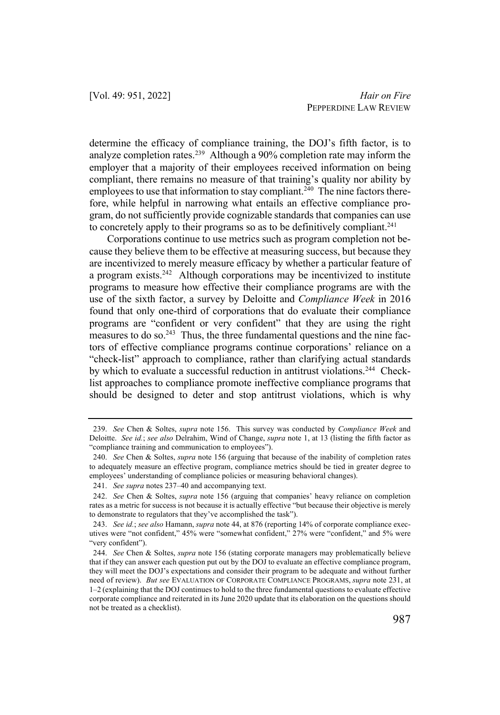determine the efficacy of compliance training, the DOJ's fifth factor, is to analyze completion rates.<sup>239</sup> Although a 90% completion rate may inform the employer that a majority of their employees received information on being compliant, there remains no measure of that training's quality nor ability by employees to use that information to stay compliant.<sup>240</sup> The nine factors therefore, while helpful in narrowing what entails an effective compliance program, do not sufficiently provide cognizable standards that companies can use to concretely apply to their programs so as to be definitively compliant.<sup>241</sup>

Corporations continue to use metrics such as program completion not because they believe them to be effective at measuring success, but because they are incentivized to merely measure efficacy by whether a particular feature of a program exists.242 Although corporations may be incentivized to institute programs to measure how effective their compliance programs are with the use of the sixth factor, a survey by Deloitte and *Compliance Week* in 2016 found that only one-third of corporations that do evaluate their compliance programs are "confident or very confident" that they are using the right measures to do so.<sup>243</sup> Thus, the three fundamental questions and the nine factors of effective compliance programs continue corporations' reliance on a "check-list" approach to compliance, rather than clarifying actual standards by which to evaluate a successful reduction in antitrust violations.<sup>244</sup> Checklist approaches to compliance promote ineffective compliance programs that should be designed to deter and stop antitrust violations, which is why

<sup>239.</sup> *See* Chen & Soltes, *supra* note 156. This survey was conducted by *Compliance Week* and Deloitte. *See id.*; *see also* Delrahim, Wind of Change, *supra* note 1, at 13 (listing the fifth factor as "compliance training and communication to employees").

<sup>240.</sup> *See* Chen & Soltes, *supra* note 156 (arguing that because of the inability of completion rates to adequately measure an effective program, compliance metrics should be tied in greater degree to employees' understanding of compliance policies or measuring behavioral changes).

<sup>241.</sup> *See supra* notes 237–40 and accompanying text.

<sup>242.</sup> *See* Chen & Soltes, *supra* note 156 (arguing that companies' heavy reliance on completion rates as a metric for success is not because it is actually effective "but because their objective is merely to demonstrate to regulators that they've accomplished the task").

<sup>243.</sup> *See id.*; *see also* Hamann, *supra* note 44, at 876 (reporting 14% of corporate compliance executives were "not confident," 45% were "somewhat confident," 27% were "confident," and 5% were "very confident").

<sup>244.</sup> *See* Chen & Soltes, *supra* note 156 (stating corporate managers may problematically believe that if they can answer each question put out by the DOJ to evaluate an effective compliance program, they will meet the DOJ's expectations and consider their program to be adequate and without further need of review). *But see* EVALUATION OF CORPORATE COMPLIANCE PROGRAMS, *supra* note 231, at 1–2 (explaining that the DOJ continues to hold to the three fundamental questions to evaluate effective corporate compliance and reiterated in its June 2020 update that its elaboration on the questions should not be treated as a checklist).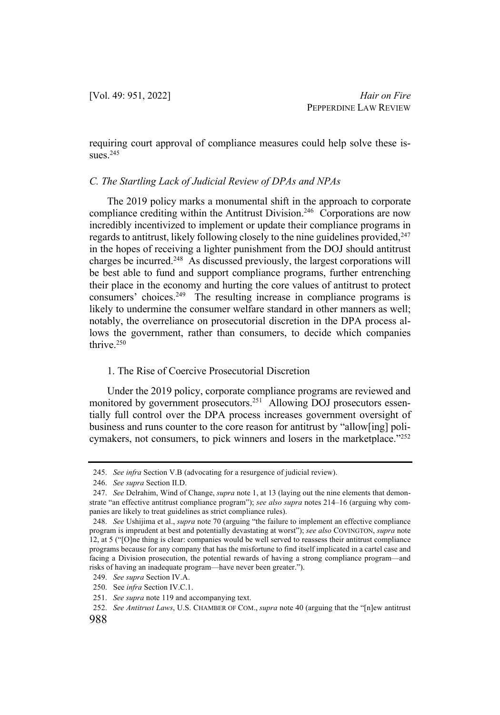requiring court approval of compliance measures could help solve these issues.<sup>245</sup>

#### *C. The Startling Lack of Judicial Review of DPAs and NPAs*

The 2019 policy marks a monumental shift in the approach to corporate compliance crediting within the Antitrust Division.<sup>246</sup> Corporations are now incredibly incentivized to implement or update their compliance programs in regards to antitrust, likely following closely to the nine guidelines provided,<sup>247</sup> in the hopes of receiving a lighter punishment from the DOJ should antitrust charges be incurred.248 As discussed previously, the largest corporations will be best able to fund and support compliance programs, further entrenching their place in the economy and hurting the core values of antitrust to protect consumers' choices.249 The resulting increase in compliance programs is likely to undermine the consumer welfare standard in other manners as well; notably, the overreliance on prosecutorial discretion in the DPA process allows the government, rather than consumers, to decide which companies thrive.250

## 1. The Rise of Coercive Prosecutorial Discretion

Under the 2019 policy, corporate compliance programs are reviewed and monitored by government prosecutors.<sup>251</sup> Allowing DOJ prosecutors essentially full control over the DPA process increases government oversight of business and runs counter to the core reason for antitrust by "allow[ing] policymakers, not consumers, to pick winners and losers in the marketplace."<sup>252</sup>

<sup>245.</sup> *See infra* Section V.B (advocating for a resurgence of judicial review).

<sup>246.</sup> *See supra* Section II.D.

<sup>247.</sup> *See* Delrahim, Wind of Change, *supra* note 1, at 13 (laying out the nine elements that demonstrate "an effective antitrust compliance program"); *see also supra* notes 214–16 (arguing why companies are likely to treat guidelines as strict compliance rules).

<sup>248.</sup> *See* Ushijima et al., *supra* note 70 (arguing "the failure to implement an effective compliance program is imprudent at best and potentially devastating at worst"); *see also* COVINGTON, *supra* note 12, at 5 ("[O]ne thing is clear: companies would be well served to reassess their antitrust compliance programs because for any company that has the misfortune to find itself implicated in a cartel case and facing a Division prosecution, the potential rewards of having a strong compliance program—and risks of having an inadequate program—have never been greater.").

<sup>249.</sup> *See supra* Section IV.A.

<sup>250.</sup> See *infra* Section IV.C.1.

<sup>251.</sup> *See supra* note 119 and accompanying text.

<sup>252.</sup> *See Antitrust Laws*, U.S. CHAMBER OF COM., *supra* note 40 (arguing that the "[n]ew antitrust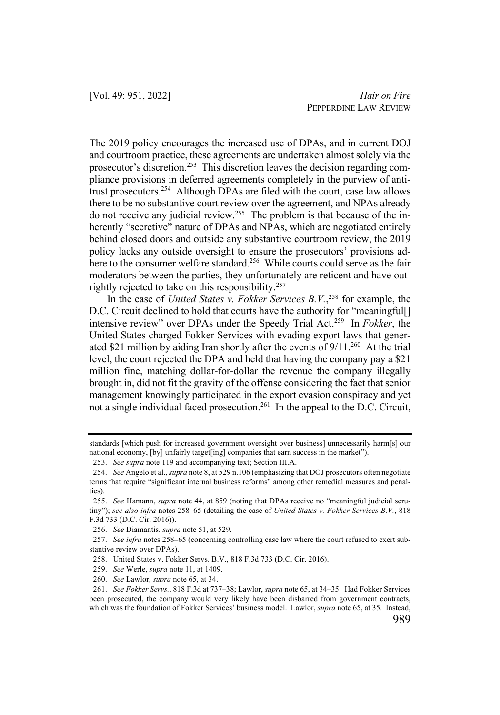The 2019 policy encourages the increased use of DPAs, and in current DOJ and courtroom practice, these agreements are undertaken almost solely via the prosecutor's discretion.<sup>253</sup> This discretion leaves the decision regarding compliance provisions in deferred agreements completely in the purview of antitrust prosecutors.254 Although DPAs are filed with the court, case law allows there to be no substantive court review over the agreement, and NPAs already do not receive any judicial review.255 The problem is that because of the inherently "secretive" nature of DPAs and NPAs, which are negotiated entirely behind closed doors and outside any substantive courtroom review, the 2019 policy lacks any outside oversight to ensure the prosecutors' provisions adhere to the consumer welfare standard.<sup>256</sup> While courts could serve as the fair moderators between the parties, they unfortunately are reticent and have outrightly rejected to take on this responsibility.<sup>257</sup>

In the case of *United States v. Fokker Services B.V.*, <sup>258</sup> for example, the D.C. Circuit declined to hold that courts have the authority for "meaningful<sup>[]</sup> intensive review" over DPAs under the Speedy Trial Act.259 In *Fokker*, the United States charged Fokker Services with evading export laws that generated \$21 million by aiding Iran shortly after the events of 9/11.260 At the trial level, the court rejected the DPA and held that having the company pay a \$21 million fine, matching dollar-for-dollar the revenue the company illegally brought in, did not fit the gravity of the offense considering the fact that senior management knowingly participated in the export evasion conspiracy and yet not a single individual faced prosecution.<sup>261</sup> In the appeal to the D.C. Circuit,

260. *See* Lawlor, *supra* note 65, at 34.

standards [which push for increased government oversight over business] unnecessarily harm[s] our national economy, [by] unfairly target[ing] companies that earn success in the market").

<sup>253.</sup> *See supra* note 119 and accompanying text; Section III.A.

<sup>254.</sup> *See* Angelo et al., *supra* note 8, at 529 n.106 (emphasizing that DOJ prosecutors often negotiate terms that require "significant internal business reforms" among other remedial measures and penalties).

<sup>255.</sup> *See* Hamann, *supra* note 44, at 859 (noting that DPAs receive no "meaningful judicial scrutiny"); *see also infra* notes 258–65 (detailing the case of *United States v. Fokker Services B.V.*, 818 F.3d 733 (D.C. Cir. 2016)).

<sup>256.</sup> *See* Diamantis, *supra* note 51, at 529.

<sup>257.</sup> *See infra* notes 258–65 (concerning controlling case law where the court refused to exert substantive review over DPAs).

<sup>258.</sup> United States v. Fokker Servs. B.V., 818 F.3d 733 (D.C. Cir. 2016).

<sup>259.</sup> *See* Werle, *supra* note 11, at 1409.

<sup>261.</sup> *See Fokker Servs.*, 818 F.3d at 737–38; Lawlor, *supra* note 65, at 34–35. Had Fokker Services been prosecuted, the company would very likely have been disbarred from government contracts, which was the foundation of Fokker Services' business model. Lawlor, *supra* note 65, at 35. Instead,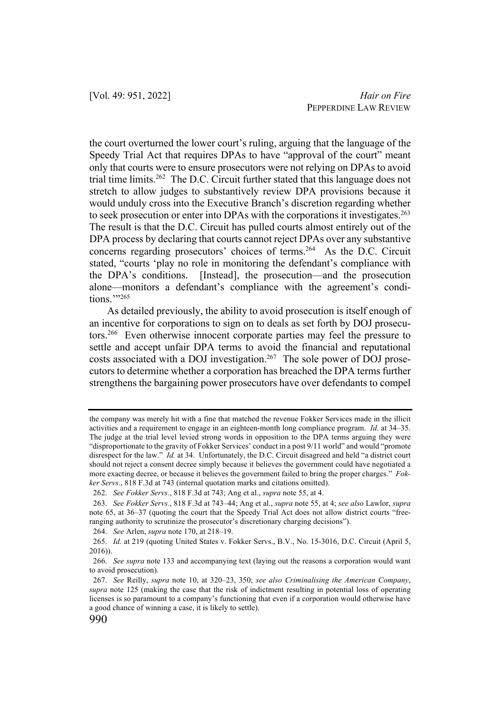the court overturned the lower court's ruling, arguing that the language of the Speedy Trial Act that requires DPAs to have "approval of the court" meant only that courts were to ensure prosecutors were not relying on DPAs to avoid trial time limits.262 The D.C. Circuit further stated that this language does not stretch to allow judges to substantively review DPA provisions because it would unduly cross into the Executive Branch's discretion regarding whether to seek prosecution or enter into DPAs with the corporations it investigates.<sup>263</sup> The result is that the D.C. Circuit has pulled courts almost entirely out of the DPA process by declaring that courts cannot reject DPAs over any substantive concerns regarding prosecutors' choices of terms.264 As the D.C. Circuit stated, "courts 'play no role in monitoring the defendant's compliance with the DPA's conditions. [Instead], the prosecution—and the prosecution alone—monitors a defendant's compliance with the agreement's condi $tions$ ."265

As detailed previously, the ability to avoid prosecution is itself enough of an incentive for corporations to sign on to deals as set forth by DOJ prosecutors.266 Even otherwise innocent corporate parties may feel the pressure to settle and accept unfair DPA terms to avoid the financial and reputational costs associated with a DOJ investigation.<sup>267</sup> The sole power of DOJ prosecutors to determine whether a corporation has breached the DPA terms further strengthens the bargaining power prosecutors have over defendants to compel

264. *See* Arlen, *supra* note 170, at 218–19.

the company was merely hit with a fine that matched the revenue Fokker Services made in the illicit activities and a requirement to engage in an eighteen-month long compliance program. *Id.* at 34–35. The judge at the trial level levied strong words in opposition to the DPA terms arguing they were "disproportionate to the gravity of Fokker Services' conduct in a post 9/11 world" and would "promote disrespect for the law." *Id.* at 34. Unfortunately, the D.C. Circuit disagreed and held "a district court should not reject a consent decree simply because it believes the government could have negotiated a more exacting decree, or because it believes the government failed to bring the proper charges." *Fokker Servs.*, 818 F.3d at 743 (internal quotation marks and citations omitted).

<sup>262.</sup> *See Fokker Servs.*, 818 F.3d at 743; Ang et al., *supra* note 55, at 4.

<sup>263.</sup> *See Fokker Servs.*, 818 F.3d at 743–44; Ang et al., *supra* note 55, at 4; *see also* Lawlor, *supra* note 65, at 36–37 (quoting the court that the Speedy Trial Act does not allow district courts "freeranging authority to scrutinize the prosecutor's discretionary charging decisions").

<sup>265.</sup> *Id.* at 219 (quoting United States v. Fokker Servs., B.V., No. 15-3016, D.C. Circuit (April 5, 2016)).

<sup>266.</sup> *See supra* note 133 and accompanying text (laying out the reasons a corporation would want to avoid prosecution).

<sup>267.</sup> *See* Reilly, *supra* note 10, at 320–23, 350; *see also Criminalising the American Company*, *supra* note 125 (making the case that the risk of indictment resulting in potential loss of operating licenses is so paramount to a company's functioning that even if a corporation would otherwise have a good chance of winning a case, it is likely to settle).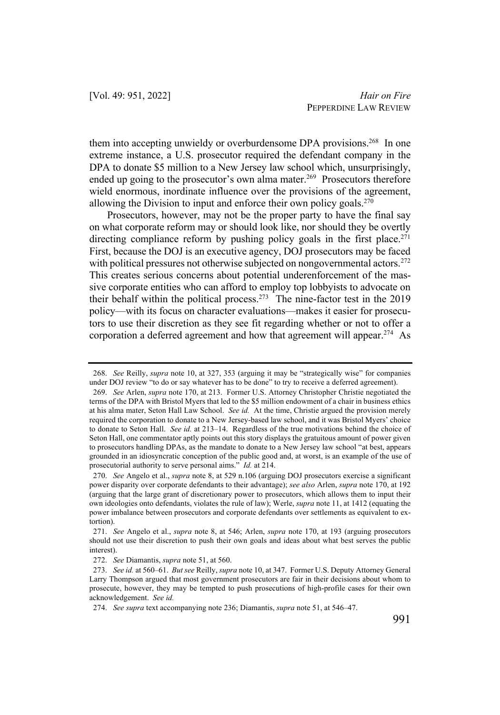them into accepting unwieldy or overburdensome DPA provisions.<sup>268</sup> In one extreme instance, a U.S. prosecutor required the defendant company in the DPA to donate \$5 million to a New Jersey law school which, unsurprisingly, ended up going to the prosecutor's own alma mater.<sup>269</sup> Prosecutors therefore wield enormous, inordinate influence over the provisions of the agreement, allowing the Division to input and enforce their own policy goals. $270$ 

Prosecutors, however, may not be the proper party to have the final say on what corporate reform may or should look like, nor should they be overtly directing compliance reform by pushing policy goals in the first place.<sup>271</sup> First, because the DOJ is an executive agency, DOJ prosecutors may be faced with political pressures not otherwise subjected on nongovernmental actors.<sup>272</sup> This creates serious concerns about potential underenforcement of the massive corporate entities who can afford to employ top lobbyists to advocate on their behalf within the political process.<sup>273</sup> The nine-factor test in the 2019 policy—with its focus on character evaluations—makes it easier for prosecutors to use their discretion as they see fit regarding whether or not to offer a corporation a deferred agreement and how that agreement will appear.<sup>274</sup> As

<sup>268.</sup> *See* Reilly, *supra* note 10, at 327, 353 (arguing it may be "strategically wise" for companies under DOJ review "to do or say whatever has to be done" to try to receive a deferred agreement).

<sup>269.</sup> *See* Arlen, *supra* note 170, at 213. Former U.S. Attorney Christopher Christie negotiated the terms of the DPA with Bristol Myers that led to the \$5 million endowment of a chair in business ethics at his alma mater, Seton Hall Law School. *See id.* At the time, Christie argued the provision merely required the corporation to donate to a New Jersey-based law school, and it was Bristol Myers' choice to donate to Seton Hall. *See id.* at 213–14. Regardless of the true motivations behind the choice of Seton Hall, one commentator aptly points out this story displays the gratuitous amount of power given to prosecutors handling DPAs, as the mandate to donate to a New Jersey law school "at best, appears grounded in an idiosyncratic conception of the public good and, at worst, is an example of the use of prosecutorial authority to serve personal aims." *Id.* at 214.

<sup>270.</sup> *See* Angelo et al., *supra* note 8, at 529 n.106 (arguing DOJ prosecutors exercise a significant power disparity over corporate defendants to their advantage); *see also* Arlen, *supra* note 170, at 192 (arguing that the large grant of discretionary power to prosecutors, which allows them to input their own ideologies onto defendants, violates the rule of law); Werle, *supra* note 11, at 1412 (equating the power imbalance between prosecutors and corporate defendants over settlements as equivalent to extortion).

<sup>271.</sup> *See* Angelo et al., *supra* note 8, at 546; Arlen, *supra* note 170, at 193 (arguing prosecutors should not use their discretion to push their own goals and ideas about what best serves the public interest).

<sup>272.</sup> *See* Diamantis, *supra* note 51, at 560.

<sup>273.</sup> *See id.* at 560–61. *But see* Reilly, *supra* note 10, at 347. Former U.S. Deputy Attorney General Larry Thompson argued that most government prosecutors are fair in their decisions about whom to prosecute, however, they may be tempted to push prosecutions of high-profile cases for their own acknowledgement. *See id.*

<sup>274.</sup> *See supra* text accompanying note 236; Diamantis, *supra* note 51, at 546–47.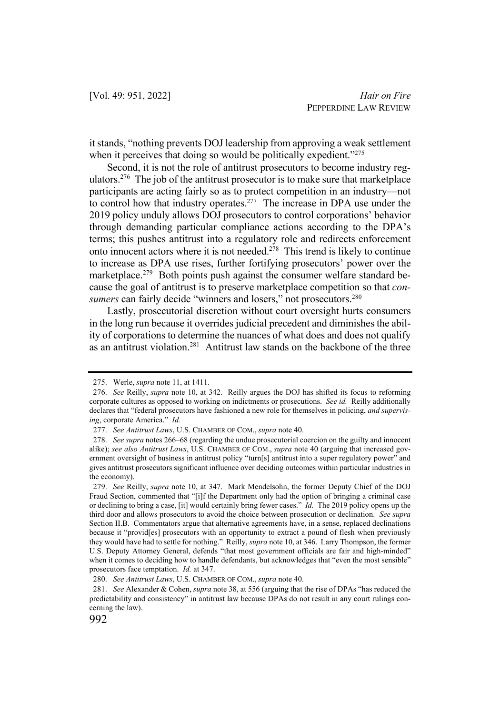it stands, "nothing prevents DOJ leadership from approving a weak settlement when it perceives that doing so would be politically expedient."<sup>275</sup>

Second, it is not the role of antitrust prosecutors to become industry regulators.<sup>276</sup> The job of the antitrust prosecutor is to make sure that marketplace participants are acting fairly so as to protect competition in an industry—not to control how that industry operates.<sup>277</sup> The increase in DPA use under the 2019 policy unduly allows DOJ prosecutors to control corporations' behavior through demanding particular compliance actions according to the DPA's terms; this pushes antitrust into a regulatory role and redirects enforcement onto innocent actors where it is not needed.278 This trend is likely to continue to increase as DPA use rises, further fortifying prosecutors' power over the marketplace.<sup>279</sup> Both points push against the consumer welfare standard because the goal of antitrust is to preserve marketplace competition so that *consumers* can fairly decide "winners and losers," not prosecutors.<sup>280</sup>

Lastly, prosecutorial discretion without court oversight hurts consumers in the long run because it overrides judicial precedent and diminishes the ability of corporations to determine the nuances of what does and does not qualify as an antitrust violation.281 Antitrust law stands on the backbone of the three

<sup>275.</sup> Werle, *supra* note 11, at 1411.

<sup>276.</sup> *See* Reilly, *supra* note 10, at 342. Reilly argues the DOJ has shifted its focus to reforming corporate cultures as opposed to working on indictments or prosecutions. *See id.* Reilly additionally declares that "federal prosecutors have fashioned a new role for themselves in policing, *and supervising*, corporate America." *Id.*

<sup>277.</sup> *See Antitrust Laws*, U.S. CHAMBER OF COM., *supra* note 40.

<sup>278.</sup> *See supra* notes 266–68 (regarding the undue prosecutorial coercion on the guilty and innocent alike); *see also Antitrust Laws*, U.S. CHAMBER OF COM., *supra* note 40 (arguing that increased government oversight of business in antitrust policy "turn[s] antitrust into a super regulatory power" and gives antitrust prosecutors significant influence over deciding outcomes within particular industries in the economy).

<sup>279.</sup> *See* Reilly, *supra* note 10, at 347. Mark Mendelsohn, the former Deputy Chief of the DOJ Fraud Section, commented that "[i]f the Department only had the option of bringing a criminal case or declining to bring a case, [it] would certainly bring fewer cases." *Id.* The 2019 policy opens up the third door and allows prosecutors to avoid the choice between prosecution or declination. *See supra* Section II.B. Commentators argue that alternative agreements have, in a sense, replaced declinations because it "provid[es] prosecutors with an opportunity to extract a pound of flesh when previously they would have had to settle for nothing." Reilly, *supra* note 10, at 346. Larry Thompson, the former U.S. Deputy Attorney General, defends "that most government officials are fair and high-minded" when it comes to deciding how to handle defendants, but acknowledges that "even the most sensible" prosecutors face temptation. *Id.* at 347.

<sup>280.</sup> *See Antitrust Laws*, U.S. CHAMBER OF COM., *supra* note 40.

<sup>281.</sup> *See* Alexander & Cohen, *supra* note 38, at 556 (arguing that the rise of DPAs "has reduced the predictability and consistency" in antitrust law because DPAs do not result in any court rulings concerning the law).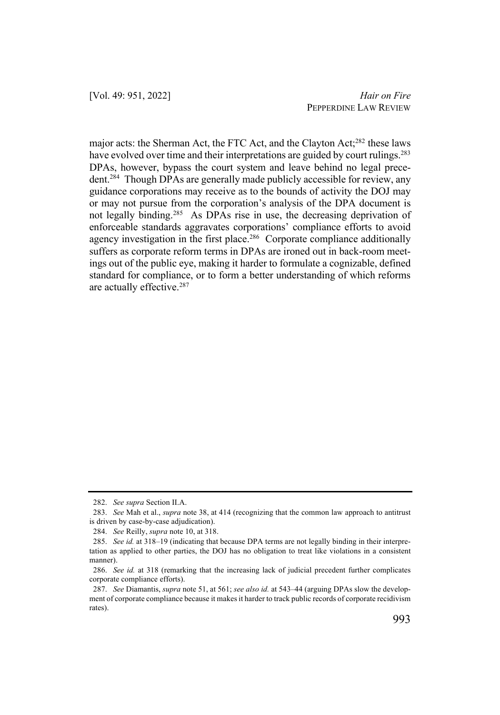major acts: the Sherman Act, the FTC Act, and the Clayton Act;<sup>282</sup> these laws have evolved over time and their interpretations are guided by court rulings.<sup>283</sup> DPAs, however, bypass the court system and leave behind no legal precedent.<sup>284</sup> Though DPAs are generally made publicly accessible for review, any guidance corporations may receive as to the bounds of activity the DOJ may or may not pursue from the corporation's analysis of the DPA document is not legally binding.<sup>285</sup> As DPAs rise in use, the decreasing deprivation of enforceable standards aggravates corporations' compliance efforts to avoid agency investigation in the first place.<sup>286</sup> Corporate compliance additionally suffers as corporate reform terms in DPAs are ironed out in back-room meetings out of the public eye, making it harder to formulate a cognizable, defined standard for compliance, or to form a better understanding of which reforms are actually effective.<sup>287</sup>

<sup>282.</sup> *See supra* Section II.A.

<sup>283.</sup> *See* Mah et al., *supra* note 38, at 414 (recognizing that the common law approach to antitrust is driven by case-by-case adjudication).

<sup>284.</sup> *See* Reilly, *supra* note 10, at 318.

<sup>285.</sup> *See id.* at 318–19 (indicating that because DPA terms are not legally binding in their interpretation as applied to other parties, the DOJ has no obligation to treat like violations in a consistent manner).

<sup>286.</sup> *See id.* at 318 (remarking that the increasing lack of judicial precedent further complicates corporate compliance efforts).

<sup>287.</sup> *See* Diamantis, *supra* note 51, at 561; *see also id.* at 543–44 (arguing DPAs slow the development of corporate compliance because it makes it harder to track public records of corporate recidivism rates).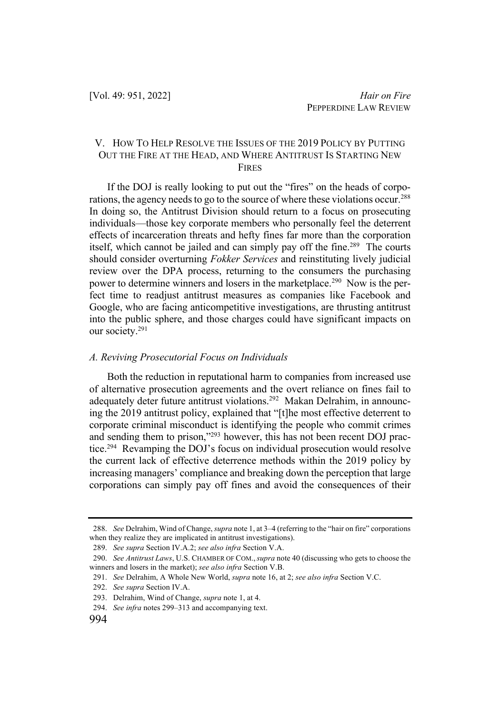## V. HOW TO HELP RESOLVE THE ISSUES OF THE 2019 POLICY BY PUTTING OUT THE FIRE AT THE HEAD, AND WHERE ANTITRUST IS STARTING NEW FIRES

If the DOJ is really looking to put out the "fires" on the heads of corporations, the agency needs to go to the source of where these violations occur.<sup>288</sup> In doing so, the Antitrust Division should return to a focus on prosecuting individuals—those key corporate members who personally feel the deterrent effects of incarceration threats and hefty fines far more than the corporation itself, which cannot be jailed and can simply pay off the fine.<sup>289</sup> The courts should consider overturning *Fokker Services* and reinstituting lively judicial review over the DPA process, returning to the consumers the purchasing power to determine winners and losers in the marketplace.290 Now is the perfect time to readjust antitrust measures as companies like Facebook and Google, who are facing anticompetitive investigations, are thrusting antitrust into the public sphere, and those charges could have significant impacts on our society.291

#### *A. Reviving Prosecutorial Focus on Individuals*

Both the reduction in reputational harm to companies from increased use of alternative prosecution agreements and the overt reliance on fines fail to adequately deter future antitrust violations.<sup>292</sup> Makan Delrahim, in announcing the 2019 antitrust policy, explained that "[t]he most effective deterrent to corporate criminal misconduct is identifying the people who commit crimes and sending them to prison,"293 however, this has not been recent DOJ practice.<sup>294</sup> Revamping the DOJ's focus on individual prosecution would resolve the current lack of effective deterrence methods within the 2019 policy by increasing managers' compliance and breaking down the perception that large corporations can simply pay off fines and avoid the consequences of their

<sup>288.</sup> *See* Delrahim, Wind of Change, *supra* note 1, at 3–4 (referring to the "hair on fire" corporations when they realize they are implicated in antitrust investigations).

<sup>289.</sup> *See supra* Section IV.A.2; *see also infra* Section V.A.

<sup>290.</sup> *See Antitrust Laws*, U.S. CHAMBER OF COM.,*supra* note 40 (discussing who gets to choose the winners and losers in the market); *see also infra* Section V.B.

<sup>291.</sup> *See* Delrahim, A Whole New World, *supra* note 16, at 2; *see also infra* Section V.C.

<sup>292.</sup> *See supra* Section IV.A.

<sup>293.</sup> Delrahim, Wind of Change, *supra* note 1, at 4.

<sup>294.</sup> *See infra* notes 299–313 and accompanying text.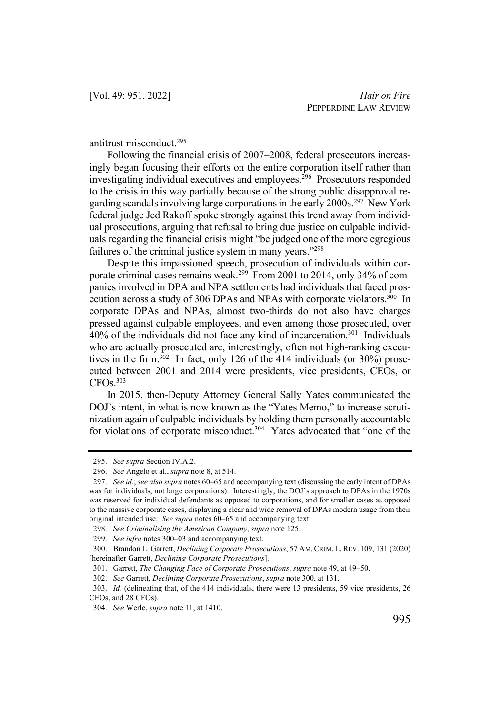antitrust misconduct.295

Following the financial crisis of 2007–2008, federal prosecutors increasingly began focusing their efforts on the entire corporation itself rather than investigating individual executives and employees.<sup>296</sup> Prosecutors responded to the crisis in this way partially because of the strong public disapproval regarding scandals involving large corporations in the early 2000s.<sup>297</sup> New York federal judge Jed Rakoff spoke strongly against this trend away from individual prosecutions, arguing that refusal to bring due justice on culpable individuals regarding the financial crisis might "be judged one of the more egregious failures of the criminal justice system in many years."298

Despite this impassioned speech, prosecution of individuals within corporate criminal cases remains weak.<sup>299</sup> From 2001 to 2014, only 34% of companies involved in DPA and NPA settlements had individuals that faced prosecution across a study of 306 DPAs and NPAs with corporate violators.<sup>300</sup> In corporate DPAs and NPAs, almost two-thirds do not also have charges pressed against culpable employees, and even among those prosecuted, over  $40\%$  of the individuals did not face any kind of incarceration.<sup>301</sup> Individuals who are actually prosecuted are, interestingly, often not high-ranking executives in the firm.<sup>302</sup> In fact, only 126 of the 414 individuals (or  $30\%$ ) prosecuted between 2001 and 2014 were presidents, vice presidents, CEOs, or  $CFOs.<sup>303</sup>$ 

In 2015, then-Deputy Attorney General Sally Yates communicated the DOJ's intent, in what is now known as the "Yates Memo," to increase scrutinization again of culpable individuals by holding them personally accountable for violations of corporate misconduct.<sup>304</sup> Yates advocated that "one of the

<sup>295.</sup> *See supra* Section IV.A.2.

<sup>296.</sup> *See* Angelo et al., *supra* note 8, at 514.

<sup>297.</sup> *See id.*; *see also supra* notes 60–65 and accompanying text (discussing the early intent of DPAs was for individuals, not large corporations). Interestingly, the DOJ's approach to DPAs in the 1970s was reserved for individual defendants as opposed to corporations, and for smaller cases as opposed to the massive corporate cases, displaying a clear and wide removal of DPAs modern usage from their original intended use. *See supra* notes 60–65 and accompanying text.

<sup>298.</sup> *See Criminalising the American Company*, *supra* note 125.

<sup>299.</sup> *See infra* notes 300–03 and accompanying text.

<sup>300.</sup> Brandon L. Garrett, *Declining Corporate Prosecutions*, 57 AM. CRIM. L. REV. 109, 131 (2020) [hereinafter Garrett, *Declining Corporate Prosecutions*].

<sup>301.</sup> Garrett, *The Changing Face of Corporate Prosecutions*, *supra* note 49, at 49–50.

<sup>302.</sup> *See* Garrett, *Declining Corporate Prosecutions*, *supra* note 300, at 131.

<sup>303.</sup> *Id.* (delineating that, of the 414 individuals, there were 13 presidents, 59 vice presidents, 26 CEOs, and 28 CFOs).

<sup>304.</sup> *See* Werle, *supra* note 11, at 1410.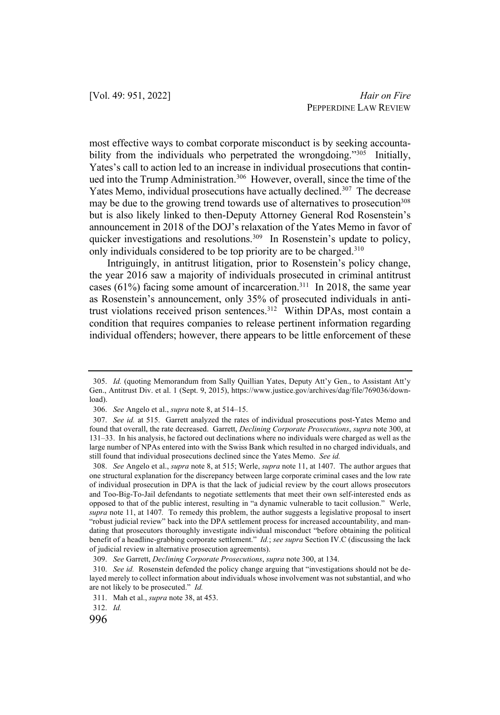most effective ways to combat corporate misconduct is by seeking accountability from the individuals who perpetrated the wrongdoing."<sup>305</sup> Initially, Yates's call to action led to an increase in individual prosecutions that continued into the Trump Administration.<sup>306</sup> However, overall, since the time of the Yates Memo, individual prosecutions have actually declined.<sup>307</sup> The decrease may be due to the growing trend towards use of alternatives to prosecution<sup>308</sup> but is also likely linked to then-Deputy Attorney General Rod Rosenstein's announcement in 2018 of the DOJ's relaxation of the Yates Memo in favor of quicker investigations and resolutions.<sup>309</sup> In Rosenstein's update to policy, only individuals considered to be top priority are to be charged.<sup>310</sup>

Intriguingly, in antitrust litigation, prior to Rosenstein's policy change, the year 2016 saw a majority of individuals prosecuted in criminal antitrust cases (61%) facing some amount of incarceration.<sup>311</sup> In 2018, the same year as Rosenstein's announcement, only 35% of prosecuted individuals in antitrust violations received prison sentences.<sup>312</sup> Within DPAs, most contain a condition that requires companies to release pertinent information regarding individual offenders; however, there appears to be little enforcement of these

<sup>305.</sup> *Id.* (quoting Memorandum from Sally Quillian Yates, Deputy Att'y Gen., to Assistant Att'y Gen., Antitrust Div. et al. 1 (Sept. 9, 2015), https://www.justice.gov/archives/dag/file/769036/download).

<sup>306.</sup> *See* Angelo et al., *supra* note 8, at 514–15.

<sup>307.</sup> *See id.* at 515. Garrett analyzed the rates of individual prosecutions post-Yates Memo and found that overall, the rate decreased. Garrett, *Declining Corporate Prosecutions*, *supra* note 300, at 131–33. In his analysis, he factored out declinations where no individuals were charged as well as the large number of NPAs entered into with the Swiss Bank which resulted in no charged individuals, and still found that individual prosecutions declined since the Yates Memo. *See id.*

<sup>308.</sup> *See* Angelo et al., *supra* note 8, at 515; Werle, *supra* note 11, at 1407. The author argues that one structural explanation for the discrepancy between large corporate criminal cases and the low rate of individual prosecution in DPA is that the lack of judicial review by the court allows prosecutors and Too-Big-To-Jail defendants to negotiate settlements that meet their own self-interested ends as opposed to that of the public interest, resulting in "a dynamic vulnerable to tacit collusion." Werle, *supra* note 11, at 1407*.* To remedy this problem, the author suggests a legislative proposal to insert "robust judicial review" back into the DPA settlement process for increased accountability, and mandating that prosecutors thoroughly investigate individual misconduct "before obtaining the political benefit of a headline-grabbing corporate settlement." *Id.*; *see supra* Section IV.C (discussing the lack of judicial review in alternative prosecution agreements).

<sup>309.</sup> *See* Garrett, *Declining Corporate Prosecutions*, *supra* note 300, at 134.

<sup>310.</sup> *See id.* Rosenstein defended the policy change arguing that "investigations should not be delayed merely to collect information about individuals whose involvement was not substantial, and who are not likely to be prosecuted." *Id.*

<sup>311.</sup> Mah et al., *supra* note 38, at 453.

<sup>312.</sup> *Id.*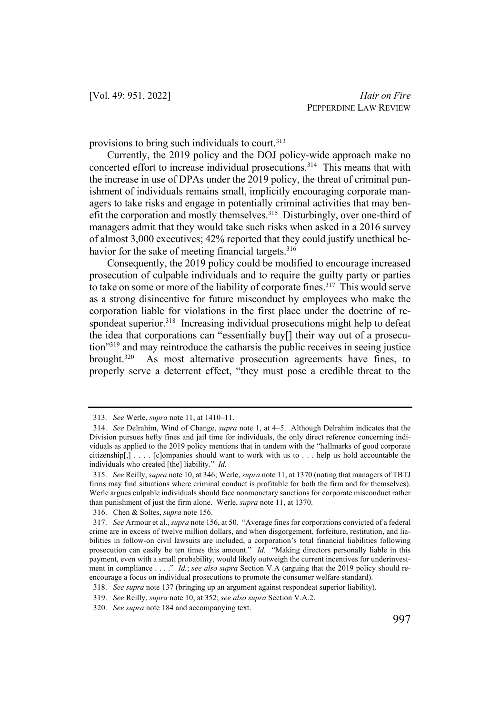provisions to bring such individuals to court.313

Currently, the 2019 policy and the DOJ policy-wide approach make no concerted effort to increase individual prosecutions.<sup>314</sup> This means that with the increase in use of DPAs under the 2019 policy, the threat of criminal punishment of individuals remains small, implicitly encouraging corporate managers to take risks and engage in potentially criminal activities that may benefit the corporation and mostly themselves.<sup>315</sup> Disturbingly, over one-third of managers admit that they would take such risks when asked in a 2016 survey of almost 3,000 executives; 42% reported that they could justify unethical behavior for the sake of meeting financial targets.<sup>316</sup>

Consequently, the 2019 policy could be modified to encourage increased prosecution of culpable individuals and to require the guilty party or parties to take on some or more of the liability of corporate fines.<sup>317</sup> This would serve as a strong disincentive for future misconduct by employees who make the corporation liable for violations in the first place under the doctrine of respondeat superior.<sup>318</sup> Increasing individual prosecutions might help to defeat the idea that corporations can "essentially buy[] their way out of a prosecution"319 and may reintroduce the catharsis the public receives in seeing justice brought. As most alternative prosecution agreements have fines, to properly serve a deterrent effect, "they must pose a credible threat to the

<sup>313.</sup> *See* Werle, *supra* note 11, at 1410–11.

<sup>314.</sup> *See* Delrahim, Wind of Change, *supra* note 1, at 4–5. Although Delrahim indicates that the Division pursues hefty fines and jail time for individuals, the only direct reference concerning individuals as applied to the 2019 policy mentions that in tandem with the "hallmarks of good corporate citizenship[,] . . . . [c]ompanies should want to work with us to . . . help us hold accountable the individuals who created [the] liability." *Id.*

<sup>315.</sup> *See* Reilly, *supra* note 10, at 346; Werle, *supra* note 11, at 1370 (noting that managers of TBTJ firms may find situations where criminal conduct is profitable for both the firm and for themselves). Werle argues culpable individuals should face nonmonetary sanctions for corporate misconduct rather than punishment of just the firm alone. Werle, *supra* note 11, at 1370.

<sup>316.</sup> Chen & Soltes, *supra* note 156.

<sup>317.</sup> *See* Armour et al., *supra* note 156, at 50. "Average fines for corporations convicted of a federal crime are in excess of twelve million dollars, and when disgorgement, forfeiture, restitution, and liabilities in follow-on civil lawsuits are included, a corporation's total financial liabilities following prosecution can easily be ten times this amount." *Id.* "Making directors personally liable in this payment, even with a small probability, would likely outweigh the current incentives for underinvestment in compliance . . . ." *Id.*; *see also supra* Section V.A (arguing that the 2019 policy should reencourage a focus on individual prosecutions to promote the consumer welfare standard).

<sup>318.</sup> *See supra* note 137 (bringing up an argument against respondeat superior liability).

<sup>319.</sup> *See* Reilly, *supra* note 10, at 352; *see also supra* Section V.A.2.

<sup>320.</sup> *See supra* note 184 and accompanying text.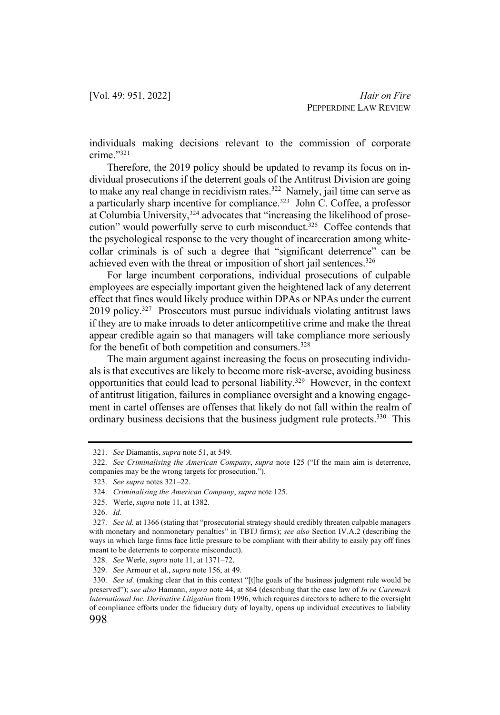individuals making decisions relevant to the commission of corporate crime."321

Therefore, the 2019 policy should be updated to revamp its focus on individual prosecutions if the deterrent goals of the Antitrust Division are going to make any real change in recidivism rates.<sup>322</sup> Namely, jail time can serve as a particularly sharp incentive for compliance.<sup>323</sup> John C. Coffee, a professor at Columbia University,<sup>324</sup> advocates that "increasing the likelihood of prosecution" would powerfully serve to curb misconduct.<sup>325</sup> Coffee contends that the psychological response to the very thought of incarceration among whitecollar criminals is of such a degree that "significant deterrence" can be achieved even with the threat or imposition of short jail sentences.<sup>326</sup>

For large incumbent corporations, individual prosecutions of culpable employees are especially important given the heightened lack of any deterrent effect that fines would likely produce within DPAs or NPAs under the current 2019 policy.327 Prosecutors must pursue individuals violating antitrust laws if they are to make inroads to deter anticompetitive crime and make the threat appear credible again so that managers will take compliance more seriously for the benefit of both competition and consumers.<sup>328</sup>

The main argument against increasing the focus on prosecuting individuals is that executives are likely to become more risk-averse, avoiding business opportunities that could lead to personal liability.<sup>329</sup> However, in the context of antitrust litigation, failures in compliance oversight and a knowing engagement in cartel offenses are offenses that likely do not fall within the realm of ordinary business decisions that the business judgment rule protects.<sup>330</sup> This

<sup>321.</sup> *See* Diamantis, *supra* note 51, at 549.

<sup>322.</sup> *See Criminalising the American Company*, *supra* note 125 ("If the main aim is deterrence, companies may be the wrong targets for prosecution.").

<sup>323.</sup> *See supra* notes 321–22.

<sup>324.</sup> *Criminalising the American Company*, *supra* note 125.

<sup>325.</sup> Werle, *supra* note 11, at 1382.

<sup>326.</sup> *Id.*

<sup>327.</sup> *See id.* at 1366 (stating that "prosecutorial strategy should credibly threaten culpable managers with monetary and nonmonetary penalties" in TBTJ firms); *see also* Section IV.A.2 (describing the ways in which large firms face little pressure to be compliant with their ability to easily pay off fines meant to be deterrents to corporate misconduct).

<sup>328.</sup> *See* Werle, *supra* note 11, at 1371–72.

<sup>329.</sup> *See* Armour et al., *supra* note 156, at 49.

<sup>330.</sup> *See id.* (making clear that in this context "[t]he goals of the business judgment rule would be preserved"); *see also* Hamann, *supra* note 44, at 864 (describing that the case law of *In re Caremark International Inc. Derivative Litigation* from 1996, which requires directors to adhere to the oversight of compliance efforts under the fiduciary duty of loyalty, opens up individual executives to liability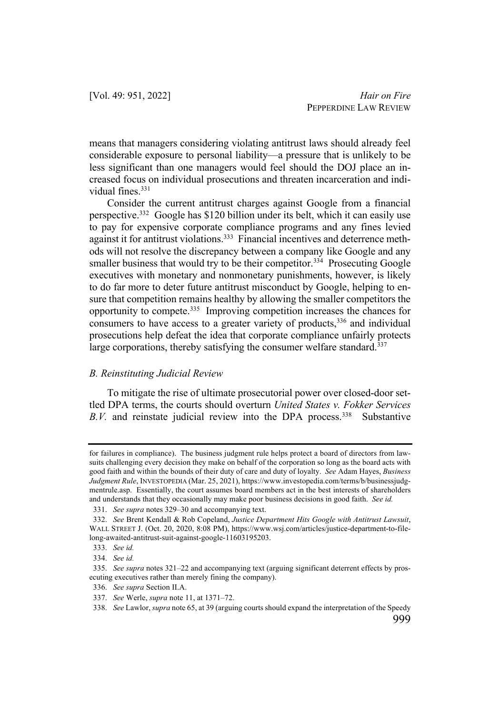means that managers considering violating antitrust laws should already feel considerable exposure to personal liability—a pressure that is unlikely to be less significant than one managers would feel should the DOJ place an increased focus on individual prosecutions and threaten incarceration and individual fines 331

Consider the current antitrust charges against Google from a financial perspective.332 Google has \$120 billion under its belt, which it can easily use to pay for expensive corporate compliance programs and any fines levied against it for antitrust violations.<sup>333</sup> Financial incentives and deterrence methods will not resolve the discrepancy between a company like Google and any smaller business that would try to be their competitor.<sup>334</sup> Prosecuting Google executives with monetary and nonmonetary punishments, however, is likely to do far more to deter future antitrust misconduct by Google, helping to ensure that competition remains healthy by allowing the smaller competitors the opportunity to compete.335 Improving competition increases the chances for consumers to have access to a greater variety of products,<sup>336</sup> and individual prosecutions help defeat the idea that corporate compliance unfairly protects large corporations, thereby satisfying the consumer welfare standard.<sup>337</sup>

#### *B. Reinstituting Judicial Review*

To mitigate the rise of ultimate prosecutorial power over closed-door settled DPA terms, the courts should overturn *United States v. Fokker Services B.V.* and reinstate judicial review into the DPA process.<sup>338</sup> Substantive

for failures in compliance). The business judgment rule helps protect a board of directors from lawsuits challenging every decision they make on behalf of the corporation so long as the board acts with good faith and within the bounds of their duty of care and duty of loyalty. *See* Adam Hayes, *Business Judgment Rule*, INVESTOPEDIA (Mar. 25, 2021), https://www.investopedia.com/terms/b/businessjudgmentrule.asp. Essentially, the court assumes board members act in the best interests of shareholders and understands that they occasionally may make poor business decisions in good faith. *See id.*

<sup>331.</sup> *See supra* notes 329–30 and accompanying text.

<sup>332.</sup> *See* Brent Kendall & Rob Copeland, *Justice Department Hits Google with Antitrust Lawsuit*, WALL STREET J. (Oct. 20, 2020, 8:08 PM), https://www.wsj.com/articles/justice-department-to-filelong-awaited-antitrust-suit-against-google-11603195203.

<sup>333.</sup> *See id.*

<sup>334.</sup> *See id.*

<sup>335.</sup> *See supra* notes 321–22 and accompanying text (arguing significant deterrent effects by prosecuting executives rather than merely fining the company).

<sup>336.</sup> *See supra* Section II.A.

<sup>337.</sup> *See* Werle, *supra* note 11, at 1371–72.

<sup>338.</sup> *See* Lawlor, *supra* note 65, at 39 (arguing courts should expand the interpretation of the Speedy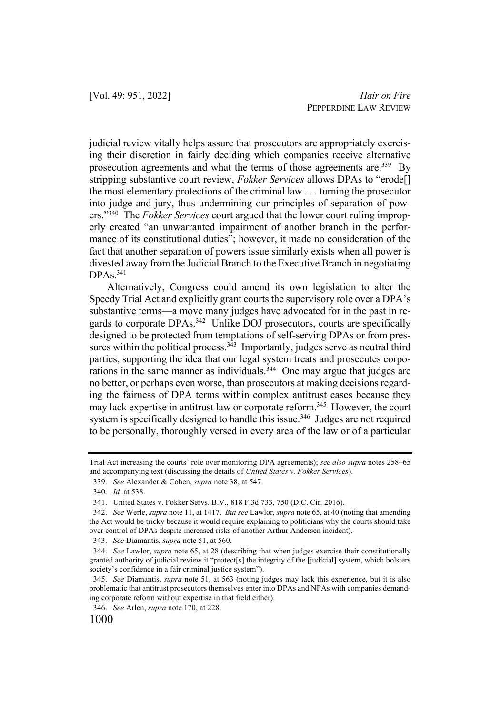judicial review vitally helps assure that prosecutors are appropriately exercising their discretion in fairly deciding which companies receive alternative prosecution agreements and what the terms of those agreements are.<sup>339</sup> By stripping substantive court review, *Fokker Services* allows DPAs to "erode[] the most elementary protections of the criminal law . . . turning the prosecutor into judge and jury, thus undermining our principles of separation of powers."340 The *Fokker Services* court argued that the lower court ruling improperly created "an unwarranted impairment of another branch in the performance of its constitutional duties"; however, it made no consideration of the fact that another separation of powers issue similarly exists when all power is divested away from the Judicial Branch to the Executive Branch in negotiating DPAs.341

Alternatively, Congress could amend its own legislation to alter the Speedy Trial Act and explicitly grant courts the supervisory role over a DPA's substantive terms—a move many judges have advocated for in the past in regards to corporate DPAs.<sup>342</sup> Unlike DOJ prosecutors, courts are specifically designed to be protected from temptations of self-serving DPAs or from pressures within the political process.<sup>343</sup> Importantly, judges serve as neutral third parties, supporting the idea that our legal system treats and prosecutes corporations in the same manner as individuals.<sup>344</sup> One may argue that judges are no better, or perhaps even worse, than prosecutors at making decisions regarding the fairness of DPA terms within complex antitrust cases because they may lack expertise in antitrust law or corporate reform.<sup>345</sup> However, the court system is specifically designed to handle this issue.<sup>346</sup> Judges are not required to be personally, thoroughly versed in every area of the law or of a particular

Trial Act increasing the courts' role over monitoring DPA agreements); *see also supra* notes 258–65 and accompanying text (discussing the details of *United States v. Fokker Services*).

<sup>339.</sup> *See* Alexander & Cohen, *supra* note 38, at 547.

<sup>340.</sup> *Id.* at 538.

<sup>341.</sup> United States v. Fokker Servs. B.V., 818 F.3d 733, 750 (D.C. Cir. 2016).

<sup>342.</sup> *See* Werle, *supra* note 11, at 1417. *But see* Lawlor, *supra* note 65, at 40 (noting that amending the Act would be tricky because it would require explaining to politicians why the courts should take over control of DPAs despite increased risks of another Arthur Andersen incident).

<sup>343.</sup> *See* Diamantis, *supra* note 51, at 560.

<sup>344.</sup> *See* Lawlor, *supra* note 65, at 28 (describing that when judges exercise their constitutionally granted authority of judicial review it "protect[s] the integrity of the [judicial] system, which bolsters society's confidence in a fair criminal justice system").

<sup>345.</sup> *See* Diamantis, *supra* note 51, at 563 (noting judges may lack this experience, but it is also problematic that antitrust prosecutors themselves enter into DPAs and NPAs with companies demanding corporate reform without expertise in that field either).

<sup>346.</sup> *See* Arlen, *supra* note 170, at 228.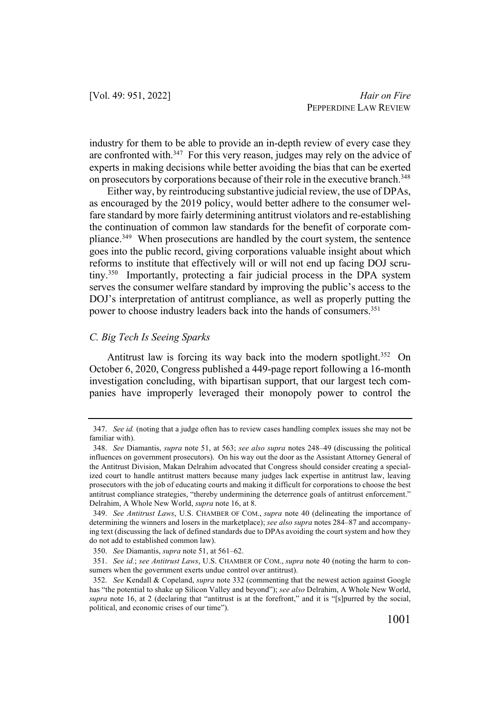industry for them to be able to provide an in-depth review of every case they are confronted with.<sup>347</sup> For this very reason, judges may rely on the advice of experts in making decisions while better avoiding the bias that can be exerted on prosecutors by corporations because of their role in the executive branch.<sup>348</sup>

Either way, by reintroducing substantive judicial review, the use of DPAs, as encouraged by the 2019 policy, would better adhere to the consumer welfare standard by more fairly determining antitrust violators and re-establishing the continuation of common law standards for the benefit of corporate compliance.<sup>349</sup> When prosecutions are handled by the court system, the sentence goes into the public record, giving corporations valuable insight about which reforms to institute that effectively will or will not end up facing DOJ scrutiny.350 Importantly, protecting a fair judicial process in the DPA system serves the consumer welfare standard by improving the public's access to the DOJ's interpretation of antitrust compliance, as well as properly putting the power to choose industry leaders back into the hands of consumers.<sup>351</sup>

## *C. Big Tech Is Seeing Sparks*

Antitrust law is forcing its way back into the modern spotlight.<sup>352</sup> On October 6, 2020, Congress published a 449-page report following a 16-month investigation concluding, with bipartisan support, that our largest tech companies have improperly leveraged their monopoly power to control the

<sup>347.</sup> *See id.* (noting that a judge often has to review cases handling complex issues she may not be familiar with).

<sup>348.</sup> *See* Diamantis, *supra* note 51, at 563; *see also supra* notes 248–49 (discussing the political influences on government prosecutors). On his way out the door as the Assistant Attorney General of the Antitrust Division, Makan Delrahim advocated that Congress should consider creating a specialized court to handle antitrust matters because many judges lack expertise in antitrust law, leaving prosecutors with the job of educating courts and making it difficult for corporations to choose the best antitrust compliance strategies, "thereby undermining the deterrence goals of antitrust enforcement." Delrahim, A Whole New World, *supra* note 16, at 8.

<sup>349.</sup> *See Antitrust Laws*, U.S. CHAMBER OF COM., *supra* note 40 (delineating the importance of determining the winners and losers in the marketplace); *see also supra* notes 284–87 and accompanying text (discussing the lack of defined standards due to DPAs avoiding the court system and how they do not add to established common law).

<sup>350.</sup> *See* Diamantis, *supra* note 51, at 561–62.

<sup>351.</sup> *See id.*; *see Antitrust Laws*, U.S. CHAMBER OF COM., *supra* note 40 (noting the harm to consumers when the government exerts undue control over antitrust).

<sup>352.</sup> *See* Kendall & Copeland, *supra* note 332 (commenting that the newest action against Google has "the potential to shake up Silicon Valley and beyond"); *see also* Delrahim, A Whole New World, *supra* note 16, at 2 (declaring that "antitrust is at the forefront," and it is "[s]purred by the social, political, and economic crises of our time").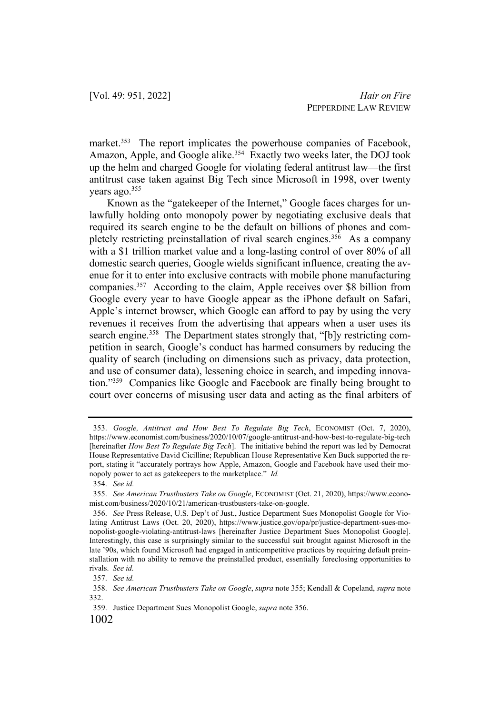market.<sup>353</sup> The report implicates the powerhouse companies of Facebook, Amazon, Apple, and Google alike.<sup>354</sup> Exactly two weeks later, the DOJ took up the helm and charged Google for violating federal antitrust law—the first antitrust case taken against Big Tech since Microsoft in 1998, over twenty years ago.<sup>355</sup>

Known as the "gatekeeper of the Internet," Google faces charges for unlawfully holding onto monopoly power by negotiating exclusive deals that required its search engine to be the default on billions of phones and completely restricting preinstallation of rival search engines.<sup>356</sup> As a company with a \$1 trillion market value and a long-lasting control of over 80% of all domestic search queries, Google wields significant influence, creating the avenue for it to enter into exclusive contracts with mobile phone manufacturing companies.<sup>357</sup> According to the claim, Apple receives over \$8 billion from Google every year to have Google appear as the iPhone default on Safari, Apple's internet browser, which Google can afford to pay by using the very revenues it receives from the advertising that appears when a user uses its search engine.<sup>358</sup> The Department states strongly that, "[b]y restricting competition in search, Google's conduct has harmed consumers by reducing the quality of search (including on dimensions such as privacy, data protection, and use of consumer data), lessening choice in search, and impeding innovation."359 Companies like Google and Facebook are finally being brought to court over concerns of misusing user data and acting as the final arbiters of

<sup>353.</sup> *Google, Antitrust and How Best To Regulate Big Tech*, ECONOMIST (Oct. 7, 2020), https://www.economist.com/business/2020/10/07/google-antitrust-and-how-best-to-regulate-big-tech [hereinafter *How Best To Regulate Big Tech*]. The initiative behind the report was led by Democrat House Representative David Cicilline; Republican House Representative Ken Buck supported the report, stating it "accurately portrays how Apple, Amazon, Google and Facebook have used their monopoly power to act as gatekeepers to the marketplace." *Id.*

<sup>354.</sup> *See id.*

<sup>355.</sup> *See American Trustbusters Take on Google*, ECONOMIST (Oct. 21, 2020), https://www.economist.com/business/2020/10/21/american-trustbusters-take-on-google.

<sup>356.</sup> *See* Press Release, U.S. Dep't of Just., Justice Department Sues Monopolist Google for Violating Antitrust Laws (Oct. 20, 2020), https://www.justice.gov/opa/pr/justice-department-sues-monopolist-google-violating-antitrust-laws [hereinafter Justice Department Sues Monopolist Google]. Interestingly, this case is surprisingly similar to the successful suit brought against Microsoft in the late '90s, which found Microsoft had engaged in anticompetitive practices by requiring default preinstallation with no ability to remove the preinstalled product, essentially foreclosing opportunities to rivals. *See id.*

<sup>357.</sup> *See id.*

<sup>358.</sup> *See American Trustbusters Take on Google*, *supra* note 355; Kendall & Copeland, *supra* note 332.

<sup>359.</sup> Justice Department Sues Monopolist Google, *supra* note 356.

<sup>1002</sup>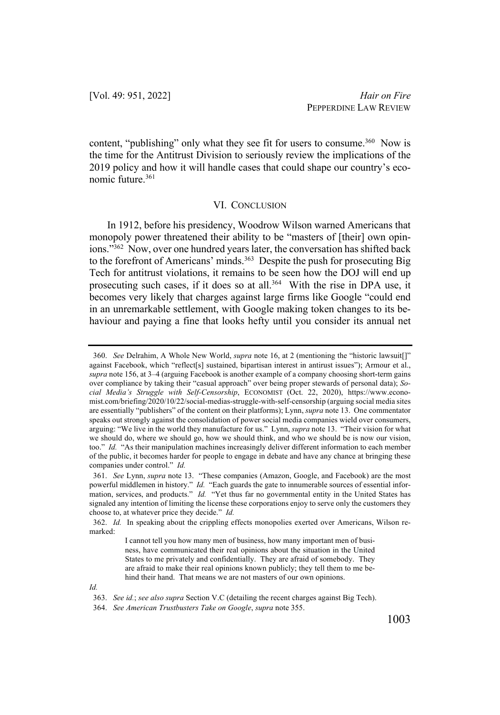content, "publishing" only what they see fit for users to consume.<sup>360</sup> Now is the time for the Antitrust Division to seriously review the implications of the 2019 policy and how it will handle cases that could shape our country's economic future  $361$ 

#### VI. CONCLUSION

In 1912, before his presidency, Woodrow Wilson warned Americans that monopoly power threatened their ability to be "masters of [their] own opinions."362 Now, over one hundred years later, the conversation has shifted back to the forefront of Americans' minds.<sup>363</sup> Despite the push for prosecuting Big Tech for antitrust violations, it remains to be seen how the DOJ will end up prosecuting such cases, if it does so at all.<sup>364</sup> With the rise in DPA use, it becomes very likely that charges against large firms like Google "could end in an unremarkable settlement, with Google making token changes to its behaviour and paying a fine that looks hefty until you consider its annual net

*Id.*

<sup>360.</sup> *See* Delrahim, A Whole New World, *supra* note 16, at 2 (mentioning the "historic lawsuit[]" against Facebook, which "reflect[s] sustained, bipartisan interest in antirust issues"); Armour et al., *supra* note 156, at 3–4 (arguing Facebook is another example of a company choosing short-term gains over compliance by taking their "casual approach" over being proper stewards of personal data); *Social Media's Struggle with Self-Censorship*, ECONOMIST (Oct. 22, 2020), https://www.economist.com/briefing/2020/10/22/social-medias-struggle-with-self-censorship (arguing social media sites are essentially "publishers" of the content on their platforms); Lynn, *supra* note 13. One commentator speaks out strongly against the consolidation of power social media companies wield over consumers, arguing: "We live in the world they manufacture for us." Lynn, *supra* note 13. "Their vision for what we should do, where we should go, how we should think, and who we should be is now our vision, too." *Id.* "As their manipulation machines increasingly deliver different information to each member of the public, it becomes harder for people to engage in debate and have any chance at bringing these companies under control." *Id.*

<sup>361.</sup> *See* Lynn, *supra* note 13. "These companies (Amazon, Google, and Facebook) are the most powerful middlemen in history." *Id.* "Each guards the gate to innumerable sources of essential information, services, and products." *Id.* "Yet thus far no governmental entity in the United States has signaled any intention of limiting the license these corporations enjoy to serve only the customers they choose to, at whatever price they decide." *Id.*

<sup>362.</sup> *Id.* In speaking about the crippling effects monopolies exerted over Americans, Wilson remarked:

I cannot tell you how many men of business, how many important men of business, have communicated their real opinions about the situation in the United States to me privately and confidentially. They are afraid of somebody. They are afraid to make their real opinions known publicly; they tell them to me behind their hand. That means we are not masters of our own opinions.

<sup>363.</sup> *See id.*; *see also supra* Section V.C (detailing the recent charges against Big Tech).

<sup>364.</sup> *See American Trustbusters Take on Google*, *supra* note 355.